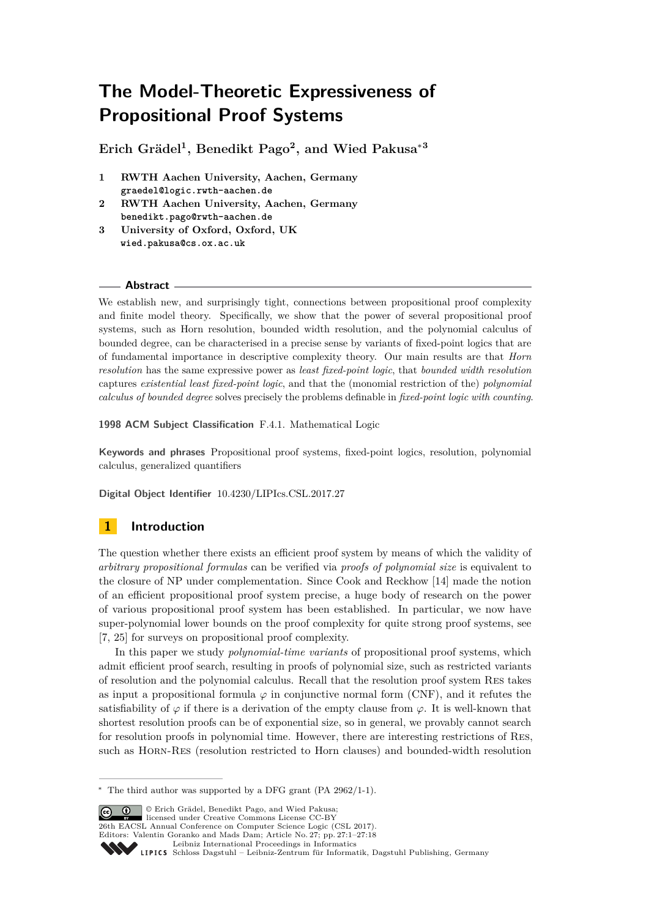# **The Model-Theoretic Expressiveness of Propositional Proof Systems**

**Erich Grädel<sup>1</sup> , Benedikt Pago<sup>2</sup> , and Wied Pakusa**<sup>∗</sup>**<sup>3</sup>**

- **1 RWTH Aachen University, Aachen, Germany graedel@logic.rwth-aachen.de**
- **2 RWTH Aachen University, Aachen, Germany benedikt.pago@rwth-aachen.de**
- **3 University of Oxford, Oxford, UK wied.pakusa@cs.ox.ac.uk**

## **Abstract**

We establish new, and surprisingly tight, connections between propositional proof complexity and finite model theory. Specifically, we show that the power of several propositional proof systems, such as Horn resolution, bounded width resolution, and the polynomial calculus of bounded degree, can be characterised in a precise sense by variants of fixed-point logics that are of fundamental importance in descriptive complexity theory. Our main results are that *Horn resolution* has the same expressive power as *least fixed-point logic*, that *bounded width resolution* captures *existential least fixed-point logic*, and that the (monomial restriction of the) *polynomial calculus of bounded degree* solves precisely the problems definable in *fixed-point logic with counting*.

**1998 ACM Subject Classification** F.4.1. Mathematical Logic

**Keywords and phrases** Propositional proof systems, fixed-point logics, resolution, polynomial calculus, generalized quantifiers

**Digital Object Identifier** [10.4230/LIPIcs.CSL.2017.27](http://dx.doi.org/10.4230/LIPIcs.CSL.2017.27)

# **1 Introduction**

The question whether there exists an efficient proof system by means of which the validity of *arbitrary propositional formulas* can be verified via *proofs of polynomial size* is equivalent to the closure of NP under complementation. Since Cook and Reckhow [\[14\]](#page-15-0) made the notion of an efficient propositional proof system precise, a huge body of research on the power of various propositional proof system has been established. In particular, we now have super-polynomial lower bounds on the proof complexity for quite strong proof systems, see [\[7,](#page-15-1) [25\]](#page-15-2) for surveys on propositional proof complexity.

In this paper we study *polynomial-time variants* of propositional proof systems, which admit efficient proof search, resulting in proofs of polynomial size, such as restricted variants of resolution and the polynomial calculus. Recall that the resolution proof system Res takes as input a propositional formula  $\varphi$  in conjunctive normal form (CNF), and it refutes the satisfiability of  $\varphi$  if there is a derivation of the empty clause from  $\varphi$ . It is well-known that shortest resolution proofs can be of exponential size, so in general, we provably cannot search for resolution proofs in polynomial time. However, there are interesting restrictions of Res, such as Horn-Res (resolution restricted to Horn clauses) and bounded-width resolution

© Erich Grädel, Benedikt Pago, and Wied Pakusa; licensed under Creative Commons License CC-BY 26th EACSL Annual Conference on Computer Science Logic (CSL 2017).

<sup>∗</sup> The third author was supported by a DFG grant (PA 2962/1-1).

Editors: Valentin Goranko and Mads Dam; Article No. 27; pp. 27:1–27[:18](#page-17-0)

[Leibniz International Proceedings in Informatics](http://www.dagstuhl.de/lipics/)

[Schloss Dagstuhl – Leibniz-Zentrum für Informatik, Dagstuhl Publishing, Germany](http://www.dagstuhl.de)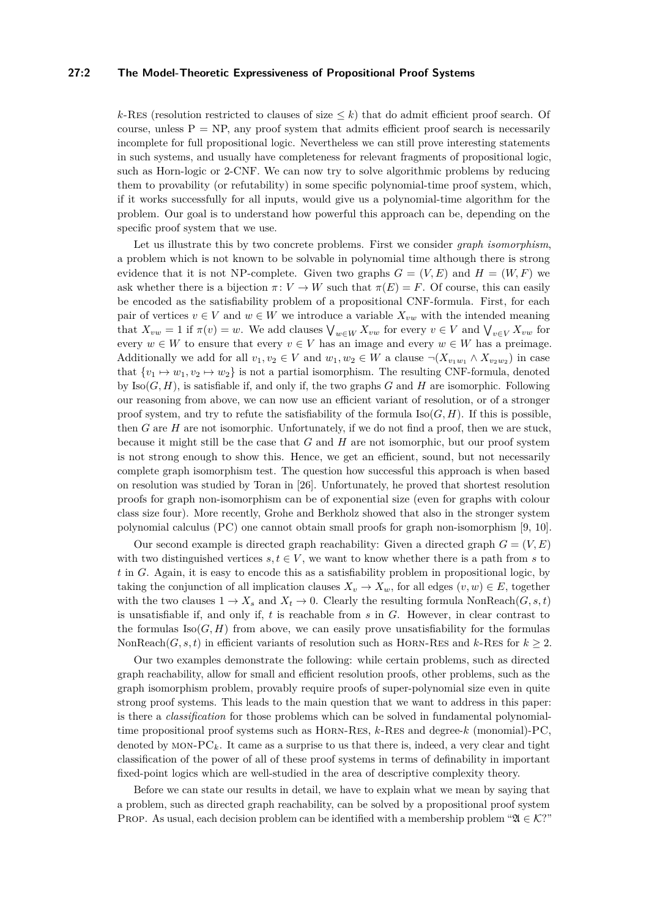## **27:2 The Model-Theoretic Expressiveness of Propositional Proof Systems**

 $k$ -Res (resolution restricted to clauses of size  $\leq k$ ) that do admit efficient proof search. Of course, unless  $P = NP$ , any proof system that admits efficient proof search is necessarily incomplete for full propositional logic. Nevertheless we can still prove interesting statements in such systems, and usually have completeness for relevant fragments of propositional logic, such as Horn-logic or 2-CNF. We can now try to solve algorithmic problems by reducing them to provability (or refutability) in some specific polynomial-time proof system, which, if it works successfully for all inputs, would give us a polynomial-time algorithm for the problem. Our goal is to understand how powerful this approach can be, depending on the specific proof system that we use.

Let us illustrate this by two concrete problems. First we consider *graph isomorphism*, a problem which is not known to be solvable in polynomial time although there is strong evidence that it is not NP-complete. Given two graphs  $G = (V, E)$  and  $H = (W, F)$  we ask whether there is a bijection  $\pi: V \to W$  such that  $\pi(E) = F$ . Of course, this can easily be encoded as the satisfiability problem of a propositional CNF-formula. First, for each pair of vertices  $v \in V$  and  $w \in W$  we introduce a variable  $X_{vw}$  with the intended meaning that  $X_{vw} = 1$  if  $\pi(v) = w$ . We add clauses  $\bigvee_{w \in W} X_{vw}$  for every  $v \in V$  and  $\bigvee_{v \in V} X_{vw}$  for every  $w \in W$  to ensure that every  $v \in V$  has an image and every  $w \in W$  has a preimage. Additionally we add for all  $v_1, v_2 \in V$  and  $w_1, w_2 \in W$  a clause  $\neg(X_{v_1w_1} \land X_{v_2w_2})$  in case that  $\{v_1 \mapsto w_1, v_2 \mapsto w_2\}$  is not a partial isomorphism. The resulting CNF-formula, denoted by Iso(*G, H*), is satisfiable if, and only if, the two graphs *G* and *H* are isomorphic. Following our reasoning from above, we can now use an efficient variant of resolution, or of a stronger proof system, and try to refute the satisfiability of the formula  $\text{Iso}(G, H)$ . If this is possible, then *G* are *H* are not isomorphic. Unfortunately, if we do not find a proof, then we are stuck, because it might still be the case that *G* and *H* are not isomorphic, but our proof system is not strong enough to show this. Hence, we get an efficient, sound, but not necessarily complete graph isomorphism test. The question how successful this approach is when based on resolution was studied by Toran in [\[26\]](#page-16-0). Unfortunately, he proved that shortest resolution proofs for graph non-isomorphism can be of exponential size (even for graphs with colour class size four). More recently, Grohe and Berkholz showed that also in the stronger system polynomial calculus (PC) one cannot obtain small proofs for graph non-isomorphism [\[9,](#page-15-3) [10\]](#page-15-4).

Our second example is directed graph reachability: Given a directed graph  $G = (V, E)$ with two distinguished vertices  $s, t \in V$ , we want to know whether there is a path from *s* to *t* in *G*. Again, it is easy to encode this as a satisfiability problem in propositional logic, by taking the conjunction of all implication clauses  $X_v \to X_w$ , for all edges  $(v, w) \in E$ , together with the two clauses  $1 \to X_s$  and  $X_t \to 0$ . Clearly the resulting formula NonReach( $G, s, t$ ) is unsatisfiable if, and only if, *t* is reachable from *s* in *G*. However, in clear contrast to the formulas  $Iso(G, H)$  from above, we can easily prove unsatisfiability for the formulas NonReach $(G, s, t)$  in efficient variants of resolution such as HORN-RES and  $k$ -RES for  $k \geq 2$ .

Our two examples demonstrate the following: while certain problems, such as directed graph reachability, allow for small and efficient resolution proofs, other problems, such as the graph isomorphism problem, provably require proofs of super-polynomial size even in quite strong proof systems. This leads to the main question that we want to address in this paper: is there a *classification* for those problems which can be solved in fundamental polynomialtime propositional proof systems such as Horn-Res, *k*-Res and degree-*k* (monomial)-PC, denoted by  $MON-PC_k$ . It came as a surprise to us that there is, indeed, a very clear and tight classification of the power of all of these proof systems in terms of definability in important fixed-point logics which are well-studied in the area of descriptive complexity theory.

Before we can state our results in detail, we have to explain what we mean by saying that a problem, such as directed graph reachability, can be solved by a propositional proof system PROP. As usual, each decision problem can be identified with a membership problem " $\mathfrak{A} \in \mathcal{K}$ ?"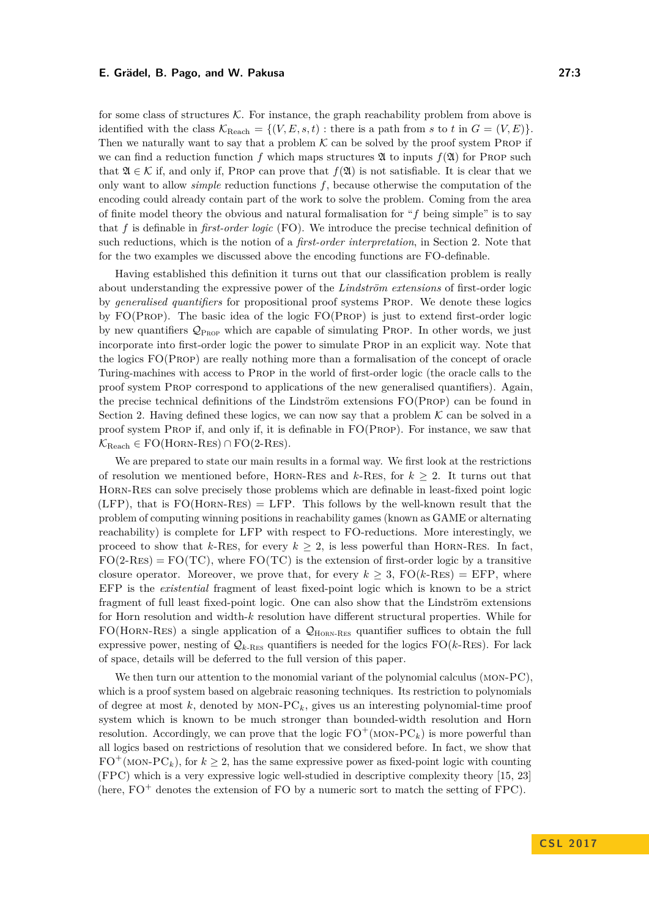for some class of structures  $K$ . For instance, the graph reachability problem from above is identified with the class  $\mathcal{K}_{\text{Reach}} = \{(V, E, s, t) : \text{there is a path from } s \text{ to } t \text{ in } G = (V, E)\}.$ Then we naturally want to say that a problem  $K$  can be solved by the proof system PROP if we can find a reduction function f which maps structures  $\mathfrak A$  to inputs  $f(\mathfrak A)$  for PROP such that  $\mathfrak{A} \in \mathcal{K}$  if, and only if, PROP can prove that  $f(\mathfrak{A})$  is not satisfiable. It is clear that we only want to allow *simple* reduction functions *f*, because otherwise the computation of the encoding could already contain part of the work to solve the problem. Coming from the area of finite model theory the obvious and natural formalisation for "*f* being simple" is to say that *f* is definable in *first-order logic* (FO). We introduce the precise technical definition of such reductions, which is the notion of a *first-order interpretation*, in Section [2.](#page-3-0) Note that for the two examples we discussed above the encoding functions are FO-definable.

Having established this definition it turns out that our classification problem is really about understanding the expressive power of the *Lindström extensions* of first-order logic by *generalised quantifiers* for propositional proof systems Prop. We denote these logics by FO(Prop). The basic idea of the logic FO(Prop) is just to extend first-order logic by new quantifiers  $\mathcal{Q}_{\text{PROP}}$  which are capable of simulating PROP. In other words, we just incorporate into first-order logic the power to simulate Prop in an explicit way. Note that the logics FO(Prop) are really nothing more than a formalisation of the concept of oracle Turing-machines with access to Prop in the world of first-order logic (the oracle calls to the proof system Prop correspond to applications of the new generalised quantifiers). Again, the precise technical definitions of the Lindström extensions FO(Prop) can be found in Section [2.](#page-3-0) Having defined these logics, we can now say that a problem  $K$  can be solved in a proof system Prop if, and only if, it is definable in FO(Prop). For instance, we saw that  $\mathcal{K}_{\text{Reach}} \in \text{FO}(\text{HORN-RES}) \cap \text{FO}(2-RES).$ 

We are prepared to state our main results in a formal way. We first look at the restrictions of resolution we mentioned before, HORN-RES and  $k$ -RES, for  $k \geq 2$ . It turns out that Horn-Res can solve precisely those problems which are definable in least-fixed point logic  $(LFP)$ , that is  $FO(HORN-RES) = LFP$ . This follows by the well-known result that the problem of computing winning positions in reachability games (known as GAME or alternating reachability) is complete for LFP with respect to FO-reductions. More interestingly, we proceed to show that  $k$ -Res, for every  $k \geq 2$ , is less powerful than HORN-RES. In fact,  $FO(2-RES) = FO(TC)$ , where  $FO(TC)$  is the extension of first-order logic by a transitive closure operator. Moreover, we prove that, for every  $k \geq 3$ ,  $FO(k-RES) = EFP$ , where EFP is the *existential* fragment of least fixed-point logic which is known to be a strict fragment of full least fixed-point logic. One can also show that the Lindström extensions for Horn resolution and width-*k* resolution have different structural properties. While for  $FO(HORN-RES)$  a single application of a  $Q_{HORN-RES}$  quantifier suffices to obtain the full expressive power, nesting of  $\mathcal{Q}_{k\text{-RES}}$  quantifiers is needed for the logics  $\text{FO}(k\text{-RES})$ . For lack of space, details will be deferred to the full version of this paper.

We then turn our attention to the monomial variant of the polynomial calculus (MON-PC), which is a proof system based on algebraic reasoning techniques. Its restriction to polynomials of degree at most  $k$ , denoted by MON- $PC_k$ , gives us an interesting polynomial-time proof system which is known to be much stronger than bounded-width resolution and Horn resolution. Accordingly, we can prove that the logic  $FO^+(MON-PC_k)$  is more powerful than all logics based on restrictions of resolution that we considered before. In fact, we show that  $FO^+(MON-PC_k)$ , for  $k \geq 2$ , has the same expressive power as fixed-point logic with counting (FPC) which is a very expressive logic well-studied in descriptive complexity theory [\[15,](#page-15-5) [23\]](#page-15-6) (here,  $FO<sup>+</sup>$  denotes the extension of FO by a numeric sort to match the setting of FPC).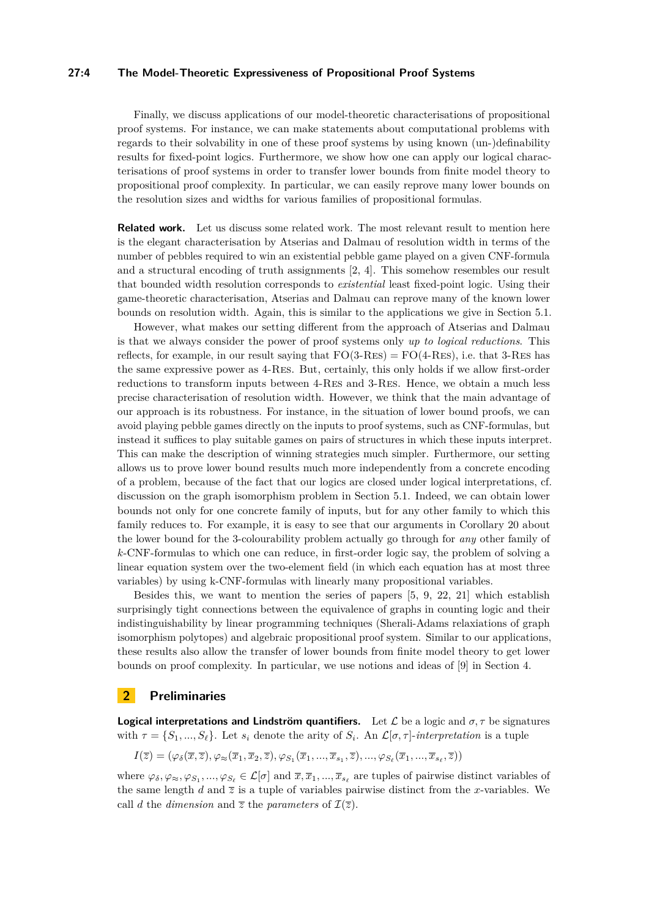## **27:4 The Model-Theoretic Expressiveness of Propositional Proof Systems**

Finally, we discuss applications of our model-theoretic characterisations of propositional proof systems. For instance, we can make statements about computational problems with regards to their solvability in one of these proof systems by using known (un-)definability results for fixed-point logics. Furthermore, we show how one can apply our logical characterisations of proof systems in order to transfer lower bounds from finite model theory to propositional proof complexity. In particular, we can easily reprove many lower bounds on the resolution sizes and widths for various families of propositional formulas.

**Related work.** Let us discuss some related work. The most relevant result to mention here is the elegant characterisation by Atserias and Dalmau of resolution width in terms of the number of pebbles required to win an existential pebble game played on a given CNF-formula and a structural encoding of truth assignments [\[2,](#page-15-7) [4\]](#page-15-8). This somehow resembles our result that bounded width resolution corresponds to *existential* least fixed-point logic. Using their game-theoretic characterisation, Atserias and Dalmau can reprove many of the known lower bounds on resolution width. Again, this is similar to the applications we give in Section [5.1.](#page-12-0)

However, what makes our setting different from the approach of Atserias and Dalmau is that we always consider the power of proof systems only *up to logical reductions*. This reflects, for example, in our result saying that  $FO(3-RES) = FO(4-RES)$ , i.e. that 3-RES has the same expressive power as 4-Res. But, certainly, this only holds if we allow first-order reductions to transform inputs between 4-Res and 3-Res. Hence, we obtain a much less precise characterisation of resolution width. However, we think that the main advantage of our approach is its robustness. For instance, in the situation of lower bound proofs, we can avoid playing pebble games directly on the inputs to proof systems, such as CNF-formulas, but instead it suffices to play suitable games on pairs of structures in which these inputs interpret. This can make the description of winning strategies much simpler. Furthermore, our setting allows us to prove lower bound results much more independently from a concrete encoding of a problem, because of the fact that our logics are closed under logical interpretations, cf. discussion on the graph isomorphism problem in Section [5.1.](#page-12-0) Indeed, we can obtain lower bounds not only for one concrete family of inputs, but for any other family to which this family reduces to. For example, it is easy to see that our arguments in Corollary [20](#page-14-0) about the lower bound for the 3-colourability problem actually go through for *any* other family of *k*-CNF-formulas to which one can reduce, in first-order logic say, the problem of solving a linear equation system over the two-element field (in which each equation has at most three variables) by using k-CNF-formulas with linearly many propositional variables.

Besides this, we want to mention the series of papers [\[5,](#page-15-9) [9,](#page-15-3) [22,](#page-15-10) [21\]](#page-15-11) which establish surprisingly tight connections between the equivalence of graphs in counting logic and their indistinguishability by linear programming techniques (Sherali-Adams relaxiations of graph isomorphism polytopes) and algebraic propositional proof system. Similar to our applications, these results also allow the transfer of lower bounds from finite model theory to get lower bounds on proof complexity. In particular, we use notions and ideas of [\[9\]](#page-15-3) in Section [4.](#page-7-0)

# <span id="page-3-0"></span>**2 Preliminaries**

**Logical interpretations and Lindström quantifiers.** Let  $\mathcal{L}$  be a logic and  $\sigma$ ,  $\tau$  be signatures with  $\tau = \{S_1, ..., S_\ell\}$ . Let  $s_i$  denote the arity of  $S_i$ . An  $\mathcal{L}[\sigma, \tau]$ -*interpretation* is a tuple

$$
I(\overline{z})=(\varphi_{\delta}(\overline{x},\overline{z}),\varphi_{\approx}(\overline{x}_1,\overline{x}_2,\overline{z}),\varphi_{S_1}(\overline{x}_1,...,\overline{x}_{s_1},\overline{z}),...,\varphi_{S_\ell}(\overline{x}_1,...,\overline{x}_{s_\ell},\overline{z}))
$$

where  $\varphi_{\delta}, \varphi_{\approx}, \varphi_{S_1}, ..., \varphi_{S_\ell} \in \mathcal{L}[\sigma]$  and  $\overline{x}, \overline{x}_1, ..., \overline{x}_{s_\ell}$  are tuples of pairwise distinct variables of the same length *d* and  $\overline{z}$  is a tuple of variables pairwise distinct from the *x*-variables. We call *d* the *dimension* and  $\overline{z}$  the *parameters* of  $\mathcal{I}(\overline{z})$ .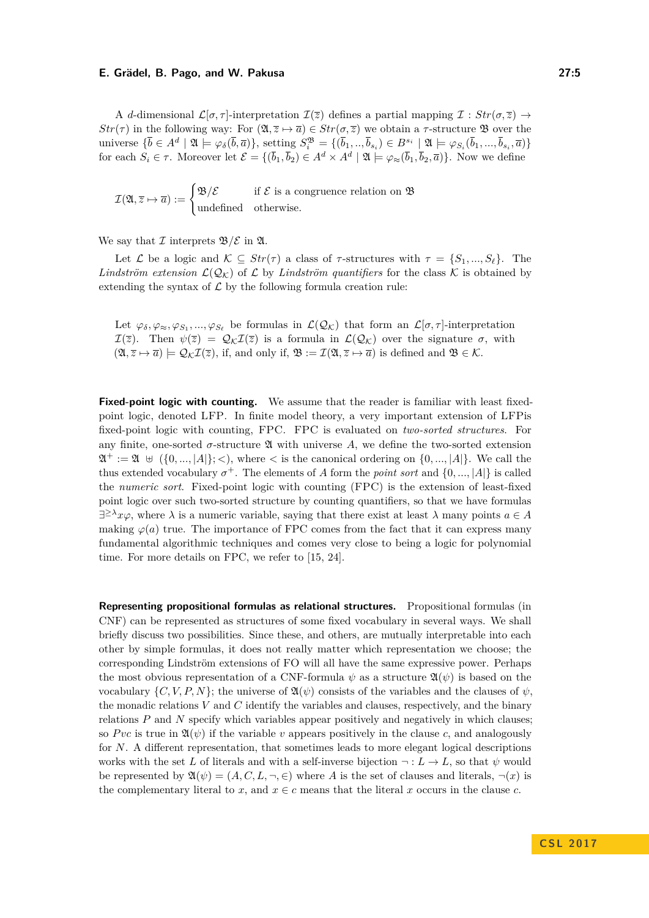A *d*-dimensional  $\mathcal{L}[\sigma, \tau]$ -interpretation  $\mathcal{I}(\overline{z})$  defines a partial mapping  $\mathcal{I}: Str(\sigma, \overline{z}) \rightarrow$ *Str*( $\tau$ ) in the following way: For  $(\mathfrak{A}, \overline{z} \mapsto \overline{a}) \in Str(\sigma, \overline{z})$  we obtain a *τ*-structure **B** over the universe  $\{\bar{b} \in A^d \mid \mathfrak{A} \models \varphi_\delta(\bar{b}, \bar{a})\}$ , setting  $S_i^{\mathfrak{B}} = \{(\bar{b}_1, ..., \bar{b}_{s_i}) \in B^{s_i} \mid \mathfrak{A} \models \varphi_{S_i}(\bar{b}_1, ..., \bar{b}_{s_i}, \bar{a})\}$ for each  $S_i \in \tau$ . Moreover let  $\mathcal{E} = \{(\bar{b}_1, \bar{b}_2) \in A^d \times A^d \mid \mathfrak{A} \models \varphi_{\approx}(\bar{b}_1, \bar{b}_2, \bar{a})\}$ . Now we define

$$
\mathcal{I}(\mathfrak{A},\overline{z}\mapsto\overline{a}):=\begin{cases} \mathfrak{B}/\mathcal{E} & \text{if } \mathcal{E} \text{ is a congruence relation on } \mathfrak{B} \\ \text{undefined} & \text{otherwise.} \end{cases}
$$

We say that  $\mathcal I$  interprets  $\mathfrak{B}/\mathcal{E}$  in  $\mathfrak{A}$ .

Let  $\mathcal{L}$  be a logic and  $\mathcal{K} \subseteq Str(\tau)$  a class of  $\tau$ -structures with  $\tau = \{S_1, ..., S_\ell\}$ . The *Lindström extension*  $\mathcal{L}(\mathcal{Q}_{\mathcal{K}})$  of  $\mathcal{L}$  by *Lindström quantifiers* for the class  $\mathcal{K}$  is obtained by extending the syntax of  $\mathcal L$  by the following formula creation rule:

Let  $\varphi_{\delta}, \varphi_{\approx}, \varphi_{S_1}, ..., \varphi_{S_{\ell}}$  be formulas in  $\mathcal{L}(\mathcal{Q}_{\mathcal{K}})$  that form an  $\mathcal{L}[\sigma, \tau]$ -interpretation  $\mathcal{I}(\overline{z})$ . Then  $\psi(\overline{z}) = \mathcal{Q}_\mathcal{K} \mathcal{I}(\overline{z})$  is a formula in  $\mathcal{L}(\mathcal{Q}_\mathcal{K})$  over the signature  $\sigma$ , with  $(\mathfrak{A}, \overline{z} \mapsto \overline{a}) \models \mathcal{Q}_{\mathcal{K}} \mathcal{I}(\overline{z})$ , if, and only if,  $\mathfrak{B} := \mathcal{I}(\mathfrak{A}, \overline{z} \mapsto \overline{a})$  is defined and  $\mathfrak{B} \in \mathcal{K}$ .

**Fixed-point logic with counting.** We assume that the reader is familiar with least fixedpoint logic, denoted LFP. In finite model theory, a very important extension of LFPis fixed-point logic with counting, FPC. FPC is evaluated on *two-sorted structures*. For any finite, one-sorted  $\sigma$ -structure  $\mathfrak A$  with universe A, we define the two-sorted extension  $\mathfrak{A}^+ := \mathfrak{A} \cup \{0, ..., |A|\}; <$ , where  $\lt$  is the canonical ordering on  $\{0, ..., |A|\}.$  We call the thus extended vocabulary  $\sigma^+$ . The elements of *A* form the *point sort* and  $\{0, ..., |A|\}$  is called the *numeric sort*. Fixed-point logic with counting (FPC) is the extension of least-fixed point logic over such two-sorted structure by counting quantifiers, so that we have formulas  $\exists^{\geq \lambda} x \varphi$ , where  $\lambda$  is a numeric variable, saying that there exist at least  $\lambda$  many points  $a \in A$ making  $\varphi$ (*a*) true. The importance of FPC comes from the fact that it can express many fundamental algorithmic techniques and comes very close to being a logic for polynomial time. For more details on FPC, we refer to [\[15,](#page-15-5) [24\]](#page-15-12).

**Representing propositional formulas as relational structures.** Propositional formulas (in CNF) can be represented as structures of some fixed vocabulary in several ways. We shall briefly discuss two possibilities. Since these, and others, are mutually interpretable into each other by simple formulas, it does not really matter which representation we choose; the corresponding Lindström extensions of FO will all have the same expressive power. Perhaps the most obvious representation of a CNF-formula  $\psi$  as a structure  $\mathfrak{A}(\psi)$  is based on the vocabulary  $\{C, V, P, N\}$ ; the universe of  $\mathfrak{A}(\psi)$  consists of the variables and the clauses of  $\psi$ , the monadic relations *V* and *C* identify the variables and clauses, respectively, and the binary relations *P* and *N* specify which variables appear positively and negatively in which clauses; so *Pvc* is true in  $\mathfrak{A}(\psi)$  if the variable *v* appears positively in the clause *c*, and analogously for *N*. A different representation, that sometimes leads to more elegant logical descriptions works with the set *L* of literals and with a self-inverse bijection  $\neg: L \to L$ , so that  $\psi$  would be represented by  $\mathfrak{A}(\psi) = (A, C, L, \neg, \in)$  where A is the set of clauses and literals,  $\neg(x)$  is the complementary literal to *x*, and  $x \in c$  means that the literal *x* occurs in the clause *c*.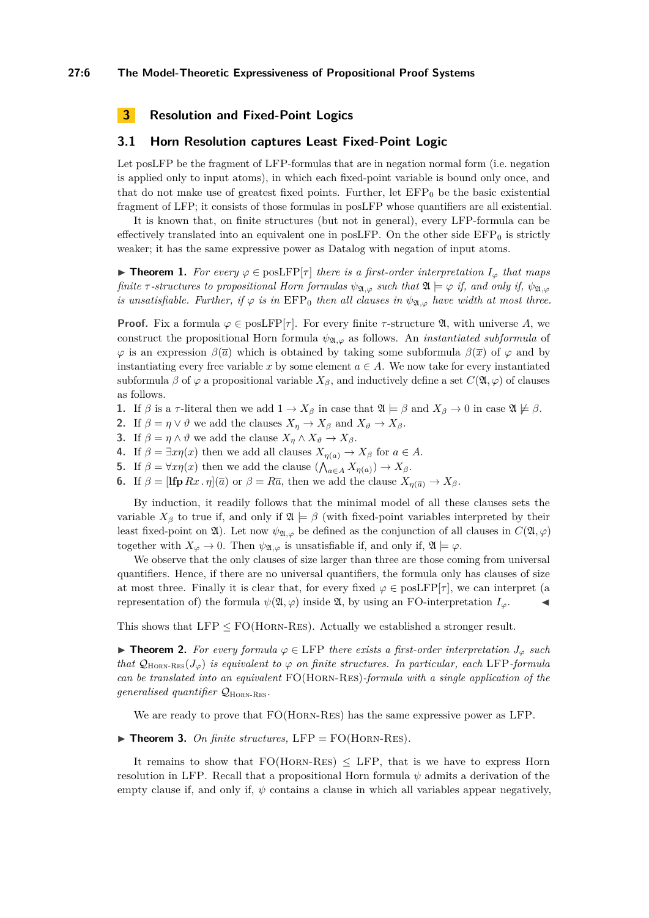# **3 Resolution and Fixed-Point Logics**

## **3.1 Horn Resolution captures Least Fixed-Point Logic**

Let posLFP be the fragment of LFP-formulas that are in negation normal form (i.e. negation is applied only to input atoms), in which each fixed-point variable is bound only once, and that do not make use of greatest fixed points. Further, let  $EFP<sub>0</sub>$  be the basic existential fragment of LFP; it consists of those formulas in posLFP whose quantifiers are all existential.

It is known that, on finite structures (but not in general), every LFP-formula can be effectively translated into an equivalent one in posLFP. On the other side  $EFP<sub>0</sub>$  is strictly weaker; it has the same expressive power as Datalog with negation of input atoms.

<span id="page-5-0"></span>**► Theorem 1.** For every  $\varphi \in \text{posLFP}[\tau]$  there is a first-order interpretation  $I_{\varphi}$  that maps *finite*  $\tau$ -structures to propositional Horn formulas  $\psi_{\mathfrak{A},\varphi}$  such that  $\mathfrak{A} \models \varphi$  *if, and only if,*  $\psi_{\mathfrak{A},\varphi}$ *is unsatisfiable. Further, if*  $\varphi$  *is in* EFP<sub>0</sub> *then all clauses in*  $\psi_{\mathfrak{A},\varphi}$  *have width at most three.* 

**Proof.** Fix a formula  $\varphi \in \text{posLFP}[\tau]$ . For every finite  $\tau$ -structure  $\mathfrak{A}$ , with universe A, we construct the propositional Horn formula  $\psi_{\mathfrak{A},\varphi}$  as follows. An *instantiated subformula* of  $\varphi$  is an expression  $\beta(\bar{a})$  which is obtained by taking some subformula  $\beta(\bar{x})$  of  $\varphi$  and by instantiating every free variable x by some element  $a \in A$ . We now take for every instantiated subformula  $\beta$  of  $\varphi$  a propositional variable  $X_{\beta}$ , and inductively define a set  $C(\mathfrak{A}, \varphi)$  of clauses as follows.

- **1.** If  $\beta$  is a  $\tau$ -literal then we add  $1 \to X_\beta$  in case that  $\mathfrak{A} \models \beta$  and  $X_\beta \to 0$  in case  $\mathfrak{A} \not\models \beta$ .
- **2.** If  $\beta = \eta \vee \vartheta$  we add the clauses  $X_n \to X_\beta$  and  $X_\vartheta \to X_\beta$ .
- **3.** If  $\beta = \eta \wedge \vartheta$  we add the clause  $X_{\eta} \wedge X_{\vartheta} \rightarrow X_{\beta}$ .
- **4.** If  $\beta = \exists x \eta(x)$  then we add all clauses  $X_{\eta(a)} \to X_{\beta}$  for  $a \in A$ .
- **5.** If  $\beta = \forall x \eta(x)$  then we add the clause  $(\bigwedge_{a \in A} X_{\eta(a)}) \to X_{\beta}$ .
- **6.** If  $\beta = [\textbf{Ifp } Rx \cdot \eta](\overline{a})$  or  $\beta = R\overline{a}$ , then we add the clause  $X_{\eta(\overline{a})} \to X_{\beta}$ .

By induction, it readily follows that the minimal model of all these clauses sets the variable  $X_\beta$  to true if, and only if  $\mathfrak{A} \models \beta$  (with fixed-point variables interpreted by their least fixed-point on  $\mathfrak{A}$ ). Let now  $\psi_{\mathfrak{A},\varphi}$  be defined as the conjunction of all clauses in  $C(\mathfrak{A},\varphi)$ together with  $X_{\varphi} \to 0$ . Then  $\psi_{\mathfrak{A},\varphi}$  is unsatisfiable if, and only if,  $\mathfrak{A} \models \varphi$ .

We observe that the only clauses of size larger than three are those coming from universal quantifiers. Hence, if there are no universal quantifiers, the formula only has clauses of size at most three. Finally it is clear that, for every fixed  $\varphi \in \text{posLFP}[\tau]$ , we can interpret (a representation of) the formula  $\psi(\mathfrak{A}, \varphi)$  inside  $\mathfrak{A}$ , by using an FO-interpretation  $I_{\varphi}$ .

This shows that LFP  $\leq$  FO(HORN-RES). Actually we established a stronger result.

<span id="page-5-1"></span>**► Theorem 2.** For every formula  $\varphi \in \text{LFP}$  there exists a first-order interpretation  $J_{\varphi}$  such *that*  $Q_{\text{HORN-RES}}(J_{\varphi})$  *is equivalent to*  $\varphi$  *on finite structures. In particular, each* LFP*-formula can be translated into an equivalent* FO(Horn-Res)*-formula with a single application of the generalised quantifier*  $Q_{\text{HORN-RES}}$ .

We are ready to prove that FO(Horn-Res) has the same expressive power as LFP.

 $\blacktriangleright$  **Theorem 3.** On finite structures, LFP = FO(HORN-RES).

It remains to show that  $FO(HORN-RES) \leq LFP$ , that is we have to express Horn resolution in LFP. Recall that a propositional Horn formula *ψ* admits a derivation of the empty clause if, and only if,  $\psi$  contains a clause in which all variables appear negatively,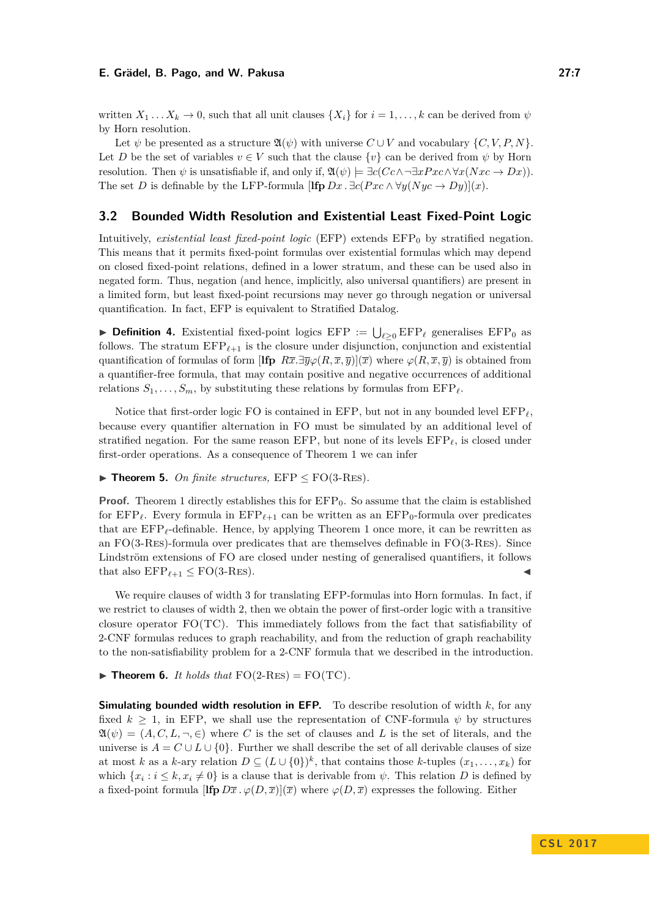written  $X_1 \n\t\ldots X_k \to 0$ , such that all unit clauses  $\{X_i\}$  for  $i = 1, \ldots, k$  can be derived from  $\psi$ by Horn resolution.

Let  $\psi$  be presented as a structure  $\mathfrak{A}(\psi)$  with universe  $C \cup V$  and vocabulary  $\{C, V, P, N\}$ . Let *D* be the set of variables  $v \in V$  such that the clause  $\{v\}$  can be derived from  $\psi$  by Horn resolution. Then  $\psi$  is unsatisfiable if, and only if,  $\mathfrak{A}(\psi) \models \exists c(Cc \land \neg \exists xPx \land \forall x(Nxc \to Dx)).$ The set *D* is definable by the LFP-formula  $[\mathbf{Ifp} Dx \cdot \exists c(Pxc \land \forall y (Nyc \rightarrow Dy)](x)$ .

## **3.2 Bounded Width Resolution and Existential Least Fixed-Point Logic**

Intuitively, *existential least fixed-point logic* (EFP) extends  $EFP_0$  by stratified negation. This means that it permits fixed-point formulas over existential formulas which may depend on closed fixed-point relations, defined in a lower stratum, and these can be used also in negated form. Thus, negation (and hence, implicitly, also universal quantifiers) are present in a limited form, but least fixed-point recursions may never go through negation or universal quantification. In fact, EFP is equivalent to Stratified Datalog.

**Definition 4.** Existential fixed-point logics EFP :=  $\bigcup_{\ell \geq 0} EFP_{\ell}$  generalises EFP<sub>0</sub> as follows. The stratum  $EFP_{\ell+1}$  is the closure under disjunction, conjunction and existential quantification of formulas of form  $[\mathbf{Ifp} R\overline{x}.\exists \overline{y}\varphi(R,\overline{x},\overline{y})](\overline{x})$  where  $\varphi(R,\overline{x},\overline{y})$  is obtained from a quantifier-free formula, that may contain positive and negative occurrences of additional relations  $S_1, \ldots, S_m$ , by substituting these relations by formulas from  $EFP_\ell$ .

Notice that first-order logic FO is contained in EFP, but not in any bounded level  $EFP_\ell$ . because every quantifier alternation in FO must be simulated by an additional level of stratified negation. For the same reason EFP, but none of its levels  $EFP_\ell$ , is closed under first-order operations. As a consequence of Theorem [1](#page-5-0) we can infer

#### $\blacktriangleright$  **Theorem 5.** *On finite structures,*  $EFP \leq FO(3-RES)$ *.*

**Proof.** Theorem [1](#page-5-0) directly establishes this for  $EFP<sub>0</sub>$ . So assume that the claim is established for  $EFP_\ell$ . Every formula in  $EFP_{\ell+1}$  can be written as an  $EFP_0$ -formula over predicates that are  $EFP_{\ell}$ -definable. Hence, by applying Theorem [1](#page-5-0) once more, it can be rewritten as an FO(3-Res)-formula over predicates that are themselves definable in FO(3-Res). Since Lindström extensions of FO are closed under nesting of generalised quantifiers, it follows that also  $\text{EFP}_{\ell+1} \leq \text{FO}(3\text{-Res}).$ 

We require clauses of width 3 for translating EFP-formulas into Horn formulas. In fact, if we restrict to clauses of width 2, then we obtain the power of first-order logic with a transitive closure operator FO(TC). This immediately follows from the fact that satisfiability of 2-CNF formulas reduces to graph reachability, and from the reduction of graph reachability to the non-satisfiability problem for a 2-CNF formula that we described in the introduction.

 $\blacktriangleright$  **Theorem 6.** *It holds that*  $FO(2-RES) = FO(TC)$ *.* 

**Simulating bounded width resolution in EFP.** To describe resolution of width *k*, for any fixed  $k \geq 1$ , in EFP, we shall use the representation of CNF-formula  $\psi$  by structures  $\mathfrak{A}(\psi) = (A, C, L, \neg, \in)$  where C is the set of clauses and L is the set of literals, and the universe is  $A = C \cup L \cup \{0\}$ . Further we shall describe the set of all derivable clauses of size at most *k* as a *k*-ary relation  $D \subseteq (L \cup \{0\})^k$ , that contains those *k*-tuples  $(x_1, \ldots, x_k)$  for which  $\{x_i : i \leq k, x_i \neq 0\}$  is a clause that is derivable from  $\psi$ . This relation *D* is defined by a fixed-point formula  $[\mathbf{Ifp}\,D\overline{x}\,.\,\varphi(D,\overline{x})](\overline{x})$  where  $\varphi(D,\overline{x})$  expresses the following. Either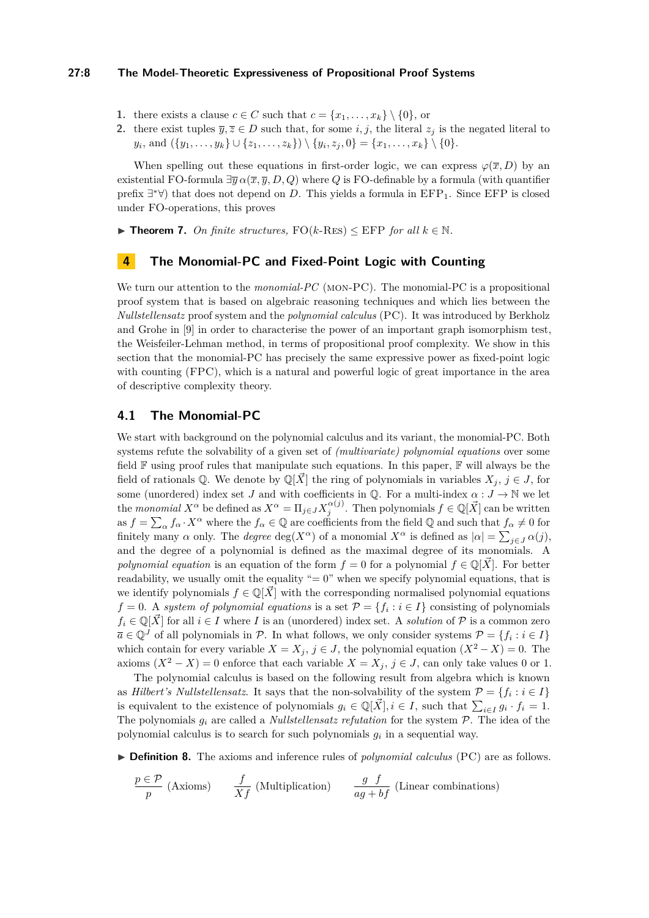## **27:8 The Model-Theoretic Expressiveness of Propositional Proof Systems**

- **1.** there exists a clause  $c \in C$  such that  $c = \{x_1, \ldots, x_k\} \setminus \{0\}$ , or
- **2.** there exist tuples  $\overline{y}, \overline{z} \in D$  such that, for some *i, j*, the literal  $z_j$  is the negated literal to  $y_i$ , and  $(\{y_1, \ldots, y_k\} \cup \{z_1, \ldots, z_k\}) \setminus \{y_i, z_j, 0\} = \{x_1, \ldots, x_k\} \setminus \{0\}.$

When spelling out these equations in first-order logic, we can express  $\varphi(\overline{x}, D)$  by an existential FO-formula  $\exists \overline{y} \alpha(\overline{x}, \overline{y}, D, Q)$  where *Q* is FO-definable by a formula (with quantifier prefix  $\exists^* \forall$ ) that does not depend on *D*. This yields a formula in EFP<sub>1</sub>. Since EFP is closed under FO-operations, this proves

<span id="page-7-1"></span>▶ **Theorem 7.** *On finite structures,*  $FO(k-RES)$  ≤ EFP *for all*  $k \in \mathbb{N}$ *.* 

## <span id="page-7-0"></span>**4 The Monomial-PC and Fixed-Point Logic with Counting**

We turn our attention to the *monomial-PC* (MON-PC). The monomial-PC is a propositional proof system that is based on algebraic reasoning techniques and which lies between the *Nullstellensatz* proof system and the *polynomial calculus* (PC). It was introduced by Berkholz and Grohe in [\[9\]](#page-15-3) in order to characterise the power of an important graph isomorphism test, the Weisfeiler-Lehman method, in terms of propositional proof complexity. We show in this section that the monomial-PC has precisely the same expressive power as fixed-point logic with counting (FPC), which is a natural and powerful logic of great importance in the area of descriptive complexity theory.

## **4.1 The Monomial-PC**

We start with background on the polynomial calculus and its variant, the monomial-PC. Both systems refute the solvability of a given set of *(multivariate) polynomial equations* over some field  $\mathbb F$  using proof rules that manipulate such equations. In this paper,  $\mathbb F$  will always be the field of rationals  $\mathbb{Q}$ . We denote by  $\mathbb{Q}[X]$  the ring of polynomials in variables  $X_i$ ,  $j \in J$ , for some (unordered) index set *J* and with coefficients in  $\mathbb{Q}$ . For a multi-index  $\alpha: J \to \mathbb{N}$  we let the *monomial*  $X^{\alpha}$  be defined as  $X^{\alpha} = \Pi_{j \in J} X_j^{\alpha(j)}$ . Then polynomials  $f \in \mathbb{Q}[\vec{X}]$  can be written as  $f = \sum_{\alpha} f_{\alpha} \cdot X^{\alpha}$  where the  $f_{\alpha} \in \mathbb{Q}$  are coefficients from the field  $\mathbb{Q}$  and such that  $f_{\alpha} \neq 0$  for finitely many *α* only. The *degree* deg( $X^{\alpha}$ ) of a monomial  $X^{\alpha}$  is defined as  $|\alpha| = \sum_{j \in J} \alpha(j)$ , and the degree of a polynomial is defined as the maximal degree of its monomials. A *polynomial equation* is an equation of the form  $f = 0$  for a polynomial  $f \in \mathbb{Q}[\vec{X}]$ . For better readability, we usually omit the equality " $= 0$ " when we specify polynomial equations, that is we identify polynomials  $f \in \mathbb{Q}[\vec{X}]$  with the corresponding normalised polynomial equations  $f = 0$ . A *system of polynomial equations* is a set  $P = \{f_i : i \in I\}$  consisting of polynomials  $f_i \in \mathbb{Q}[\vec{X}]$  for all  $i \in I$  where *I* is an (unordered) index set. A *solution* of  $P$  is a common zero  $\overline{a} \in \mathbb{Q}^J$  of all polynomials in  $\mathcal{P}$ . In what follows, we only consider systems  $\mathcal{P} = \{f_i : i \in I\}$ which contain for every variable  $X = X_j$ ,  $j \in J$ , the polynomial equation  $(X^2 - X) = 0$ . The axioms  $(X^2 - X) = 0$  enforce that each variable  $X = X_j$ ,  $j \in J$ , can only take values 0 or 1.

The polynomial calculus is based on the following result from algebra which is known as *Hilbert's Nullstellensatz*. It says that the non-solvability of the system  $\mathcal{P} = \{f_i : i \in I\}$ is equivalent to the existence of polynomials  $g_i \in \mathbb{Q}[\vec{X}], i \in I$ , such that  $\sum_{i \in I} g_i \cdot f_i = 1$ . The polynomials  $g_i$  are called a *Nullstellensatz refutation* for the system  $P$ . The idea of the polynomial calculus is to search for such polynomials  $g_i$  in a sequential way.

▶ **Definition 8.** The axioms and inference rules of *polynomial calculus* (PC) are as follows.

$$
\frac{p \in \mathcal{P}}{p} \text{ (Axioms)} \qquad \frac{f}{Xf} \text{ (Multiplication)} \qquad \frac{g \ f}{ag + bf} \text{ (Linear combinations)}
$$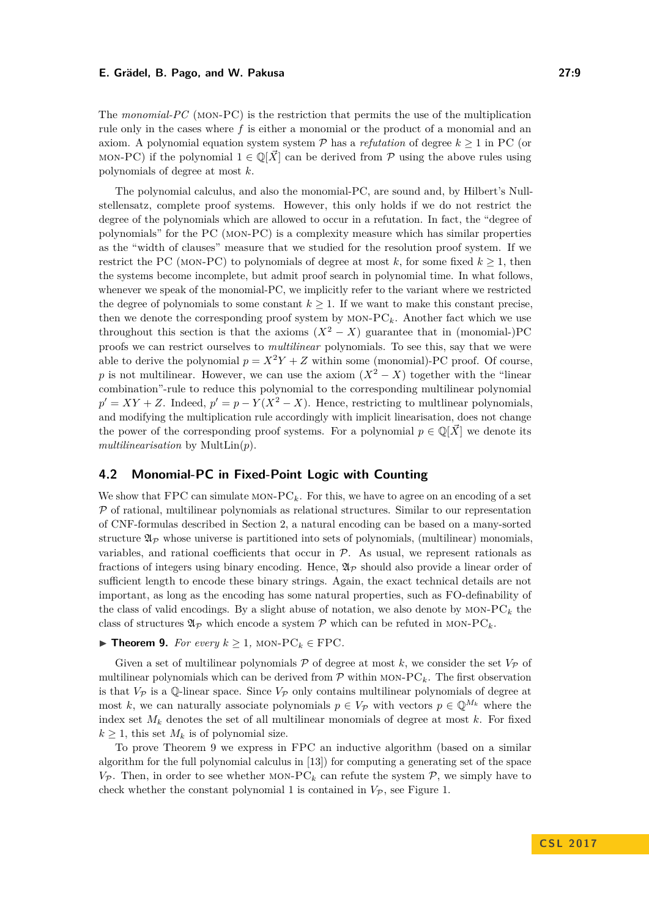The *monomial-PC* (mon-PC) is the restriction that permits the use of the multiplication rule only in the cases where *f* is either a monomial or the product of a monomial and an axiom. A polynomial equation system system  $P$  has a *refutation* of degree  $k \geq 1$  in PC (or MON-PC) if the polynomial  $1 \in \mathbb{Q}[\vec{X}]$  can be derived from P using the above rules using polynomials of degree at most *k*.

The polynomial calculus, and also the monomial-PC, are sound and, by Hilbert's Nullstellensatz, complete proof systems. However, this only holds if we do not restrict the degree of the polynomials which are allowed to occur in a refutation. In fact, the "degree of polynomials" for the PC (mon-PC) is a complexity measure which has similar properties as the "width of clauses" measure that we studied for the resolution proof system. If we restrict the PC (MON-PC) to polynomials of degree at most  $k$ , for some fixed  $k \geq 1$ , then the systems become incomplete, but admit proof search in polynomial time. In what follows, whenever we speak of the monomial-PC, we implicitly refer to the variant where we restricted the degree of polynomials to some constant  $k \geq 1$ . If we want to make this constant precise, then we denote the corresponding proof system by  $MON-PC_k$ . Another fact which we use throughout this section is that the axioms  $(X^2 - X)$  guarantee that in (monomial-)PC proofs we can restrict ourselves to *multilinear* polynomials. To see this, say that we were able to derive the polynomial  $p = X^2Y + Z$  within some (monomial)-PC proof. Of course, *p* is not multilinear. However, we can use the axiom  $(X^2 - X)$  together with the "linear" combination"-rule to reduce this polynomial to the corresponding multilinear polynomial  $p' = XY + Z$ . Indeed,  $p' = p - Y(X^2 - X)$ . Hence, restricting to multlinear polynomials, and modifying the multiplication rule accordingly with implicit linearisation, does not change the power of the corresponding proof systems. For a polynomial  $p \in \mathbb{Q}[X]$  we denote its *multilinearisation* by MultLin(*p*).

# **4.2 Monomial-PC in Fixed-Point Logic with Counting**

We show that  $FPC$  can simulate MON- $PC_k$ . For this, we have to agree on an encoding of a set  $P$  of rational, multilinear polynomials as relational structures. Similar to our representation of CNF-formulas described in Section [2,](#page-3-0) a natural encoding can be based on a many-sorted structure  $\mathfrak{A}_{\mathcal{P}}$  whose universe is partitioned into sets of polynomials, (multilinear) monomials, variables, and rational coefficients that occur in  $P$ . As usual, we represent rationals as fractions of integers using binary encoding. Hence,  $\mathfrak{A}_{\mathcal{P}}$  should also provide a linear order of sufficient length to encode these binary strings. Again, the exact technical details are not important, as long as the encoding has some natural properties, such as FO-definability of the class of valid encodings. By a slight abuse of notation, we also denote by  $MON-PC_k$  the class of structures  $\mathfrak{A}_P$  which encode a system  $P$  which can be refuted in MON-PC<sub>k</sub>.

## <span id="page-8-0"></span>**► Theorem 9.** *For every*  $k \ge 1$ , MON-PC<sub>*k*</sub> ∈ FPC*.*

Given a set of multilinear polynomials  $P$  of degree at most k, we consider the set  $V_P$  of multilinear polynomials which can be derived from  $\mathcal P$  within MON-PC<sub>k</sub>. The first observation is that  $V_P$  is a Q-linear space. Since  $V_P$  only contains multilinear polynomials of degree at most k, we can naturally associate polynomials  $p \in V_{\mathcal{P}}$  with vectors  $p \in \mathbb{Q}^{M_k}$  where the index set  $M_k$  denotes the set of all multilinear monomials of degree at most  $k$ . For fixed  $k \geq 1$ , this set  $M_k$  is of polynomial size.

To prove Theorem [9](#page-8-0) we express in FPC an inductive algorithm (based on a similar algorithm for the full polynomial calculus in [\[13\]](#page-15-13)) for computing a generating set of the space  $V_P$ . Then, in order to see whether MON-PC<sub>k</sub> can refute the system  $P$ , we simply have to check whether the constant polynomial 1 is contained in  $V_P$ , see Figure [1.](#page-9-0)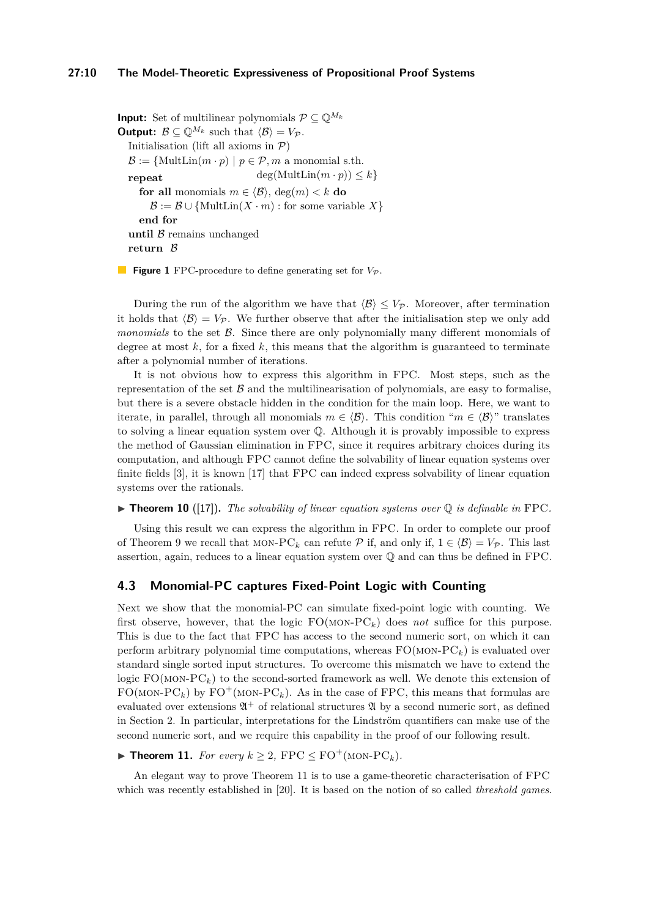#### **27:10 The Model-Theoretic Expressiveness of Propositional Proof Systems**

<span id="page-9-0"></span>**Input:** Set of multilinear polynomials  $\mathcal{P} \subseteq \mathbb{Q}^{M_k}$ **Output:**  $\mathcal{B} \subseteq \mathbb{Q}^{M_k}$  such that  $\langle \mathcal{B} \rangle = V_{\mathcal{P}}$ . Initialisation (lift all axioms in  $P$ )  $\mathcal{B} := \{\text{MultLin}(m \cdot p) \mid p \in \mathcal{P}, m \text{ a monomial s.th.}\}$ repeat  $deg(MultLin(m \cdot p)) \leq k$ **for all** monomials  $m \in \langle \mathcal{B} \rangle$ , deg $(m) < k$  **do**  $\mathcal{B} := \mathcal{B} \cup \{ \text{MultLin}(X \cdot m) : \text{for some variable } X \}$ **end for until**  $\beta$  remains unchanged **return** B

**Figure 1** FPC-procedure to define generating set for  $V_P$ .

During the run of the algorithm we have that  $\langle \mathcal{B} \rangle \leq V_{\mathcal{P}}$ . Moreover, after termination it holds that  $\langle B \rangle = V_{\mathcal{P}}$ . We further observe that after the initialisation step we only add *monomials* to the set B. Since there are only polynomially many different monomials of degree at most  $k$ , for a fixed  $k$ , this means that the algorithm is guaranteed to terminate after a polynomial number of iterations.

It is not obvious how to express this algorithm in FPC. Most steps, such as the representation of the set  $\beta$  and the multilinearisation of polynomials, are easy to formalise, but there is a severe obstacle hidden in the condition for the main loop. Here, we want to iterate, in parallel, through all monomials  $m \in \langle \mathcal{B} \rangle$ . This condition " $m \in \langle \mathcal{B} \rangle$ " translates to solving a linear equation system over Q. Although it is provably impossible to express the method of Gaussian elimination in FPC, since it requires arbitrary choices during its computation, and although FPC cannot define the solvability of linear equation systems over finite fields [\[3\]](#page-15-14), it is known [\[17\]](#page-15-15) that FPC can indeed express solvability of linear equation systems over the rationals.

 $\blacktriangleright$  **Theorem 10** ([\[17\]](#page-15-15)). The solvability of linear equation systems over  $\mathbb{Q}$  is definable in FPC.

Using this result we can express the algorithm in FPC. In order to complete our proof of Theorem [9](#page-8-0) we recall that MON-PC<sub>k</sub> can refute  $P$  if, and only if,  $1 \in \langle B \rangle = V_P$ . This last assertion, again, reduces to a linear equation system over Q and can thus be defined in FPC.

## **4.3 Monomial-PC captures Fixed-Point Logic with Counting**

Next we show that the monomial-PC can simulate fixed-point logic with counting. We first observe, however, that the logic  $FO(MON-PC_k)$  does *not* suffice for this purpose. This is due to the fact that FPC has access to the second numeric sort, on which it can perform arbitrary polynomial time computations, whereas  $FO(MON-PC_k)$  is evaluated over standard single sorted input structures. To overcome this mismatch we have to extend the logic FO(MON-PC<sub>k</sub>) to the second-sorted framework as well. We denote this extension of  $FO(MON-PC<sub>k</sub>)$  by  $FO^+(MON-PC<sub>k</sub>)$ . As in the case of FPC, this means that formulas are evaluated over extensions  $\mathfrak{A}^+$  of relational structures  $\mathfrak A$  by a second numeric sort, as defined in Section [2.](#page-3-0) In particular, interpretations for the Lindström quantifiers can make use of the second numeric sort, and we require this capability in the proof of our following result.

<span id="page-9-1"></span>▶ **Theorem 11.** *For every*  $k \geq 2$ ,  $\text{FPC} \leq \text{FO}^+(\text{MON-PC}_k)$ *.* 

An elegant way to prove Theorem [11](#page-9-1) is to use a game-theoretic characterisation of FPC which was recently established in [\[20\]](#page-15-16). It is based on the notion of so called *threshold games*.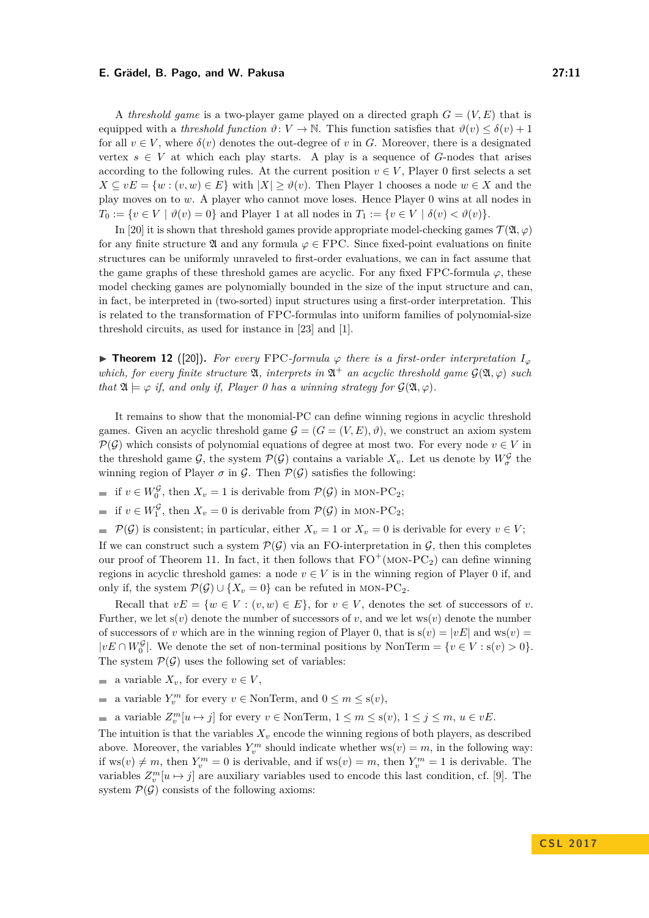for all  $v \in V$ , where  $\delta(v)$  denotes the out-degree of v in *G*. Moreover, there is a designated vertex  $s \in V$  at which each play starts. A play is a sequence of *G*-nodes that arises according to the following rules. At the current position  $v \in V$ , Player 0 first selects a set  $X \subseteq vE = \{w : (v, w) \in E\}$  with  $|X| > \vartheta(v)$ . Then Player 1 chooses a node  $w \in X$  and the play moves on to *w*. A player who cannot move loses. Hence Player 0 wins at all nodes in  $T_0 := \{v \in V \mid \vartheta(v) = 0\}$  and Player 1 at all nodes in  $T_1 := \{v \in V \mid \delta(v) < \vartheta(v)\}.$ 

In [\[20\]](#page-15-16) it is shown that threshold games provide appropriate model-checking games  $\mathcal{T}(\mathfrak{A}, \varphi)$ for any finite structure  $\mathfrak A$  and any formula  $\varphi \in \mathrm{FPC}$ . Since fixed-point evaluations on finite structures can be uniformly unraveled to first-order evaluations, we can in fact assume that the game graphs of these threshold games are acyclic. For any fixed FPC-formula  $\varphi$ , these model checking games are polynomially bounded in the size of the input structure and can, in fact, be interpreted in (two-sorted) input structures using a first-order interpretation. This is related to the transformation of FPC-formulas into uniform families of polynomial-size threshold circuits, as used for instance in [\[23\]](#page-15-6) and [\[1\]](#page-15-17).

**► Theorem 12** ([\[20\]](#page-15-16)). For every FPC-formula  $\varphi$  there is a first-order interpretation  $I_{\varphi}$ *which, for every finite structure*  $\mathfrak{A}$ *, interprets in*  $\mathfrak{A}^+$  *an acyclic threshold game*  $\mathcal{G}(\mathfrak{A}, \varphi)$  *such that*  $\mathfrak{A} \models \varphi$  *if, and only if, Player 0 has a winning strategy for*  $\mathcal{G}(\mathfrak{A}, \varphi)$ *.* 

It remains to show that the monomial-PC can define winning regions in acyclic threshold games. Given an acyclic threshold game  $\mathcal{G} = (G = (V, E), \vartheta)$ , we construct an axiom system  $\mathcal{P}(\mathcal{G})$  which consists of polynomial equations of degree at most two. For every node  $v \in V$  in the threshold game  $\mathcal{G}$ , the system  $\mathcal{P}(\mathcal{G})$  contains a variable  $X_v$ . Let us denote by  $W^{\mathcal{G}}_{\sigma}$  the winning region of Player  $\sigma$  in  $\mathcal{G}$ . Then  $\mathcal{P}(\mathcal{G})$  satisfies the following:

- if  $v \in W_0^{\mathcal{G}}$ , then  $X_v = 1$  is derivable from  $\mathcal{P}(\mathcal{G})$  in MON-PC<sub>2</sub>;
- if  $v \in W_1^{\mathcal{G}}$ , then  $X_v = 0$  is derivable from  $\mathcal{P}(\mathcal{G})$  in MON-PC<sub>2</sub>;

 $\mathcal{P}(\mathcal{G})$  is consistent; in particular, either  $X_v = 1$  or  $X_v = 0$  is derivable for every  $v \in V$ ; If we can construct such a system  $\mathcal{P}(\mathcal{G})$  via an FO-interpretation in  $\mathcal{G}$ , then this completes our proof of Theorem [11.](#page-9-1) In fact, it then follows that  $FO^+(\text{MON-PC}_2)$  can define winning regions in acyclic threshold games: a node  $v \in V$  is in the winning region of Player 0 if, and only if, the system  $\mathcal{P}(\mathcal{G}) \cup \{X_v = 0\}$  can be refuted in MON-PC<sub>2</sub>.

Recall that  $vE = \{w \in V : (v, w) \in E\}$ , for  $v \in V$ , denotes the set of successors of *v*. Further, we let  $s(v)$  denote the number of successors of  $v$ , and we let  $ws(v)$  denote the number of successors of *v* which are in the winning region of Player 0, that is  $s(v) = |vE|$  and ws(*v*) =  $|vE \cap W_0^{\mathcal{G}}|$ . We denote the set of non-terminal positions by NonTerm = { $v \in V : s(v) > 0$ }. The system  $\mathcal{P}(\mathcal{G})$  uses the following set of variables:

- a variable  $X_v$ , for every  $v \in V$ ,
- a variable  $Y_v^m$  for every  $v \in \text{NonTerm}$ , and  $0 \le m \le s(v)$ ,  $\overline{\phantom{a}}$

a variable  $Z_v^m[u \mapsto j]$  for every  $v \in \text{NonTerm}, 1 \le m \le s(v)$ ,  $1 \le j \le m, u \in vE$ .  $\overline{\phantom{a}}$ 

The intuition is that the variables  $X_v$  encode the winning regions of both players, as described above. Moreover, the variables  $Y_v^m$  should indicate whether  $ws(v) = m$ , in the following way: if  $ws(v) \neq m$ , then  $Y_v^m = 0$  is derivable, and if  $ws(v) = m$ , then  $Y_v^m = 1$  is derivable. The variables  $Z_v^m[u \mapsto j]$  are auxiliary variables used to encode this last condition, cf. [\[9\]](#page-15-3). The system  $P(\mathcal{G})$  consists of the following axioms: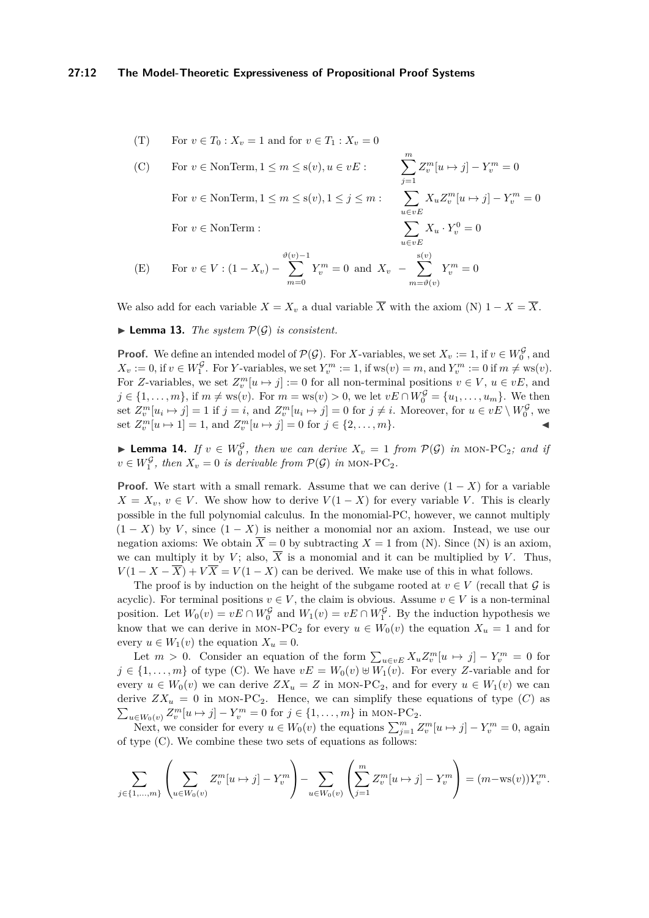#### **27:12 The Model-Theoretic Expressiveness of Propositional Proof Systems**

(T) For 
$$
v \in T_0
$$
:  $X_v = 1$  and for  $v \in T_1$ :  $X_v = 0$ 

(C) For 
$$
v \in \text{NonTerm}, 1 \le m \le s(v), u \in vE
$$
:  
\n
$$
\sum_{j=1}^{m} Z_v^m[u \mapsto j] - Y_v^m = 0
$$
\nFor  $v \in \text{NonTerm}, 1 \le m \le s(v), 1 \le j \le m$ :  
\n
$$
\sum_{u \in vE} X_u Z_v^m[u \mapsto j] - Y_v^m = 0
$$
\nFor  $v \in \text{NonTerm}$ :  
\n
$$
\sum_{u \in vE} X_u \cdot Y_v^0 = 0
$$

X*m*

(E) For 
$$
v \in V
$$
:  $(1 - X_v) - \sum_{m=0}^{\vartheta(v)-1} Y_v^m = 0$  and  $X_v - \sum_{m=\vartheta(v)}^{s(v)} Y_v^m = 0$ 

We also add for each variable  $X = X_v$  a dual variable  $\overline{X}$  with the axiom (N)  $1 - X = \overline{X}$ .

 $\blacktriangleright$  **Lemma 13.** *The system*  $\mathcal{P}(\mathcal{G})$  *is consistent.* 

**Proof.** We define an intended model of  $\mathcal{P}(\mathcal{G})$ . For *X*-variables, we set  $X_v := 1$ , if  $v \in W_0^{\mathcal{G}}$ , and  $X_v := 0$ , if  $v \in W_1^{\mathcal{G}}$ . For *Y*-variables, we set  $Y_v^m := 1$ , if  $ws(v) = m$ , and  $Y_v^m := 0$  if  $m \neq ws(v)$ . For *Z*-variables, we set  $Z_v^m[u \mapsto j] := 0$  for all non-terminal positions  $v \in V$ ,  $u \in vE$ , and *j* ∈ {1, . . . , *m*}, if *m* ≠ ws(*v*). For *m* = ws(*v*) > 0, we let *vE* ∩  $W_0^{\mathcal{G}} = \{u_1, ..., u_m\}$ . We then set  $Z_v^m[u_i \mapsto j] = 1$  if  $j = i$ , and  $Z_v^m[u_i \mapsto j] = 0$  for  $j \neq i$ . Moreover, for  $u \in vE \setminus W_0^{\mathcal{G}}$ , we set  $Z_v^m[u \mapsto 1] = 1$ , and  $Z_v^m[u \mapsto j] = 0$  for  $j \in \{2, ..., m\}$ .

► Lemma 14. *If*  $v \in W_0^{\mathcal{G}}$ , then we can derive  $X_v = 1$  from  $\mathcal{P}(\mathcal{G})$  *in* MON-PC<sub>2</sub>*; and if*  $v \in W_1^{\mathcal{G}}$ , then  $X_v = 0$  is derivable from  $\mathcal{P}(\mathcal{G})$  in MON-PC<sub>2</sub>.

**Proof.** We start with a small remark. Assume that we can derive  $(1 - X)$  for a variable *X* = *X*<sup>*v*</sup>, *v* ∈ *V*. We show how to derive *V*(1 − *X*) for every variable *V*. This is clearly possible in the full polynomial calculus. In the monomial-PC, however, we cannot multiply  $(1 - X)$  by *V*, since  $(1 - X)$  is neither a monomial nor an axiom. Instead, we use our negation axioms: We obtain  $\overline{X} = 0$  by subtracting  $X = 1$  from (N). Since (N) is an axiom, we can multiply it by *V*; also,  $\overline{X}$  is a monomial and it can be multiplied by *V*. Thus,  $V(1 - X - \overline{X}) + V\overline{X} = V(1 - X)$  can be derived. We make use of this in what follows.

The proof is by induction on the height of the subgame rooted at  $v \in V$  (recall that  $\mathcal{G}$  is acyclic). For terminal positions  $v \in V$ , the claim is obvious. Assume  $v \in V$  is a non-terminal position. Let  $W_0(v) = vE \cap W_0^{\mathcal{G}}$  and  $W_1(v) = vE \cap W_1^{\mathcal{G}}$ . By the induction hypothesis we know that we can derive in MON-PC<sub>2</sub> for every  $u \in W_0(v)$  the equation  $X_u = 1$  and for every  $u \in W_1(v)$  the equation  $X_u = 0$ .

Let  $m > 0$ . Consider an equation of the form  $\sum_{u \in v} X_u Z_v^m[u \mapsto j] - Y_v^m = 0$  for  $j \in \{1, ..., m\}$  of type (C). We have  $vE = W_0(v) \oplus W_1(v)$ . For every *Z*-variable and for every  $u \in W_0(v)$  we can derive  $ZX_u = Z$  in MON-PC<sub>2</sub>, and for every  $u \in W_1(v)$  we can derive  $ZX_u = 0$  in MON-PC<sub>2</sub>. Hence, we can simplify these equations of type (*C*) as  $\sum_{u \in W_0(v)} Z_v^m[u \mapsto j] - Y_v^m = 0$  for  $j \in \{1, ..., m\}$  in MON-PC<sub>2</sub>.

Next, we consider for every  $u \in W_0(v)$  the equations  $\sum_{j=1}^m Z_v^m[u \mapsto j] - Y_v^m = 0$ , again of type (C). We combine these two sets of equations as follows:

$$
\sum_{j \in \{1, \dots, m\}} \left( \sum_{u \in W_0(v)} Z_v^m[u \mapsto j] - Y_v^m \right) - \sum_{u \in W_0(v)} \left( \sum_{j=1}^m Z_v^m[u \mapsto j] - Y_v^m \right) = (m - \text{ws}(v)) Y_v^m.
$$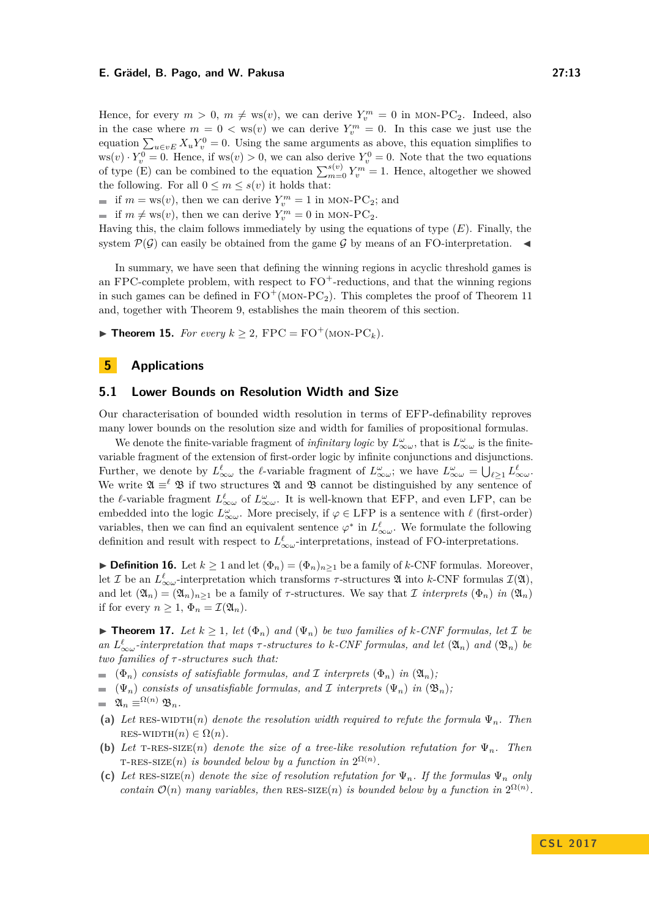Hence, for every  $m > 0$ ,  $m \neq \text{ws}(v)$ , we can derive  $Y_v^m = 0$  in MON-PC<sub>2</sub>. Indeed, also in the case where  $m = 0 < \text{ws}(v)$  we can derive  $Y_v^m = 0$ . In this case we just use the equation  $\sum_{u \in v} X_u Y_v^0 = 0$ . Using the same arguments as above, this equation simplifies to  $ws(v) \cdot Y_v^0 = 0$ . Hence, if  $ws(v) > 0$ , we can also derive  $Y_v^0 = 0$ . Note that the two equations of type (E) can be combined to the equation  $\sum_{m=0}^{s(v)} Y_v^m = 1$ . Hence, altogether we showed the following. For all  $0 \leq m \leq s(v)$  it holds that:

if  $m = \text{ws}(v)$ , then we can derive  $Y_v^m = 1$  in MON-PC<sub>2</sub>; and

if  $m \neq \text{ws}(v)$ , then we can derive  $Y_v^m = 0$  in MON-PC<sub>2</sub>.

Having this, the claim follows immediately by using the equations of type (*E*). Finally, the system  $P(G)$  can easily be obtained from the game G by means of an FO-interpretation.

In summary, we have seen that defining the winning regions in acyclic threshold games is an FPC-complete problem, with respect to  $FO<sup>+</sup>$ -reductions, and that the winning regions in such games can be defined in  $FO^+(MON-PC_2)$ . This completes the proof of Theorem [11](#page-9-1) and, together with Theorem [9,](#page-8-0) establishes the main theorem of this section.

▶ **Theorem 15.** *For every*  $k > 2$ ,  $FPC = FO^+(MON-PC_k)$ *.* 

# **5 Applications**

## <span id="page-12-0"></span>**5.1 Lower Bounds on Resolution Width and Size**

Our characterisation of bounded width resolution in terms of EFP-definability reproves many lower bounds on the resolution size and width for families of propositional formulas.

We denote the finite-variable fragment of *infinitary logic* by  $L^{\omega}_{\infty\omega}$ , that is  $L^{\omega}_{\infty\omega}$  is the finitevariable fragment of the extension of first-order logic by infinite conjunctions and disjunctions. Further, we denote by  $L^{\ell}_{\infty \omega}$  the  $\ell$ -variable fragment of  $L^{\omega}_{\infty \omega}$ ; we have  $L^{\omega}_{\infty \omega} = \bigcup_{\ell \geq 1} L^{\ell}_{\infty \omega}$ . We write  $\mathfrak{A} \equiv^{\ell} \mathfrak{B}$  if two structures  $\mathfrak{A}$  and  $\mathfrak{B}$  cannot be distinguished by any sentence of the *l*-variable fragment  $L^{\ell}_{\infty \omega}$  of  $L^{\omega}_{\infty \omega}$ . It is well-known that EFP, and even LFP, can be embedded into the logic  $L^{\omega}_{\infty \omega}$ . More precisely, if  $\varphi \in \text{LFP}$  is a sentence with  $\ell$  (first-order) variables, then we can find an equivalent sentence  $\varphi^*$  in  $L^{\ell}_{\infty \omega}$ . We formulate the following definition and result with respect to  $L^{\ell}_{\infty\omega}$ -interpretations, instead of FO-interpretations.

**► Definition 16.** Let  $k \ge 1$  and let  $(\Phi_n) = (\Phi_n)_{n>1}$  be a family of *k*-CNF formulas. Moreover, let  $\mathcal I$  be an  $L^{\ell}_{\infty \omega}$ -interpretation which transforms  $\tau$ -structures  $\mathfrak A$  into *k*-CNF formulas  $\mathcal I(\mathfrak A)$ , and let  $(\mathfrak{A}_n) = (\mathfrak{A}_n)_{n>1}$  be a family of *τ*-structures. We say that *I interprets*  $(\Phi_n)$  *in*  $(\mathfrak{A}_n)$ if for every  $n \geq 1$ ,  $\Phi_n = \mathcal{I}(\mathfrak{A}_n)$ .

<span id="page-12-1"></span>▶ **Theorem 17.** *Let*  $k \geq 1$ *, let*  $(\Phi_n)$  *and*  $(\Psi_n)$  *be two families of*  $k$ *-CNF formulas, let*  $\mathcal{I}$  *be*  $an L^{\ell}_{\infty \omega}$ *-interpretation that maps*  $\tau$ *-structures to*  $k$ *-CNF formulas, and let*  $(\mathfrak{A}_n)$  *and*  $(\mathfrak{B}_n)$  *be two families of τ -structures such that:*

- $(Φ<sub>n</sub>)$  *consists of satisfiable formulas, and* I *interprets*  $(Φ<sub>n</sub>)$  *in*  $(2\mathcal{U}<sub>n</sub>)$ *;*
- $(\Psi_n)$  *consists of unsatisfiable formulas, and* I *interprets*  $(\Psi_n)$  *in*  $(\mathfrak{B}_n)$ *;*

$$
= \mathfrak{A}_n \equiv^{\Omega(n)} \mathfrak{B}_n.
$$

- (a) Let RES-WIDTH(*n*) denote the resolution width required to refute the formula  $\Psi_n$ . Then  $RES-WIDTH(n) \in \Omega(n)$ .
- **(b)** *Let*  $T-RES-SIZE(n)$  *denote the size of a tree-like resolution refutation for*  $\Psi_n$ *. Then* T-RES-SIZE(*n*) *is bounded below by a function in*  $2^{\Omega(n)}$ .
- (c) Let RES-SIZE(*n*) denote the size of resolution refutation for  $\Psi_n$ . If the formulas  $\Psi_n$  only *contain*  $\mathcal{O}(n)$  *many variables, then* RES-SIZE(*n*) *is bounded below by a function in*  $2^{\Omega(n)}$ *.*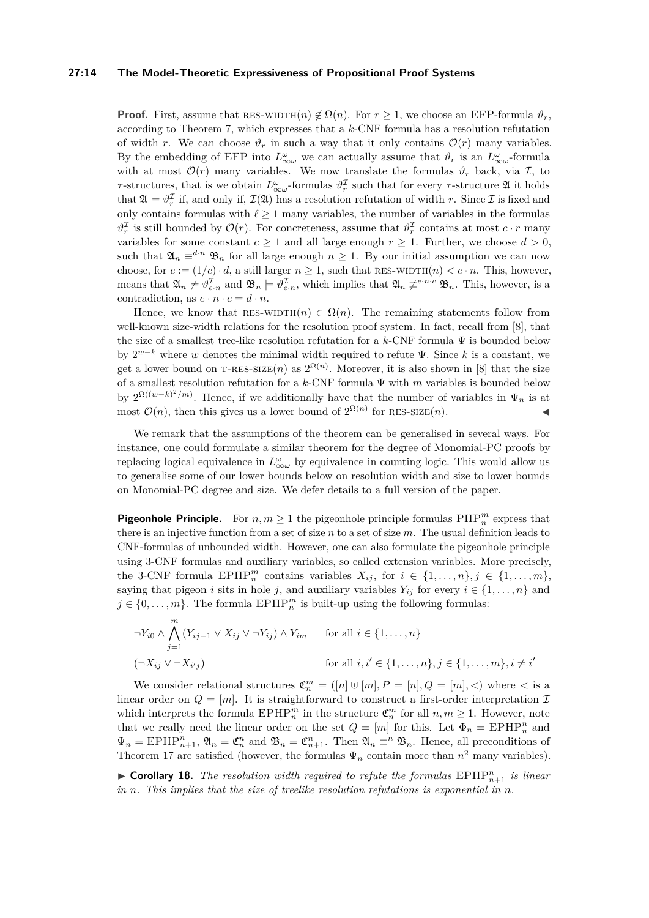#### **27:14 The Model-Theoretic Expressiveness of Propositional Proof Systems**

**Proof.** First, assume that RES-WIDTH $(n) \notin \Omega(n)$ . For  $r > 1$ , we choose an EFP-formula  $\vartheta_r$ , according to Theorem [7,](#page-7-1) which expresses that a *k*-CNF formula has a resolution refutation of width *r*. We can choose  $\vartheta_r$  in such a way that it only contains  $\mathcal{O}(r)$  many variables. By the embedding of EFP into  $L^{\omega}_{\infty \omega}$  we can actually assume that  $\vartheta_r$  is an  $L^{\omega}_{\infty \omega}$ -formula with at most  $\mathcal{O}(r)$  many variables. We now translate the formulas  $\vartheta_r$  back, via  $\mathcal{I}$ , to *τ*-structures, that is we obtain  $L^{\omega}_{\infty \omega}$ -formulas  $\vartheta_{r}^{\mathcal{I}}$  such that for every *τ*-structure  $\mathfrak{A}$  it holds that  $\mathfrak{A} \models \vartheta_r^{\mathcal{I}}$  if, and only if,  $\mathcal{I}(\mathfrak{A})$  has a resolution refutation of width r. Since  $\mathcal{I}$  is fixed and only contains formulas with  $\ell \geq 1$  many variables, the number of variables in the formulas  $\vartheta_r^{\mathcal{I}}$  is still bounded by  $\mathcal{O}(r)$ . For concreteness, assume that  $\vartheta_r^{\mathcal{I}}$  contains at most  $c \cdot r$  many variables for some constant  $c \geq 1$  and all large enough  $r \geq 1$ . Further, we choose  $d > 0$ , such that  $\mathfrak{A}_n \equiv^{d \cdot n} \mathfrak{B}_n$  for all large enough  $n \geq 1$ . By our initial assumption we can now choose, for  $e := (1/c) \cdot d$ , a still larger  $n \ge 1$ , such that RES-WIDTH $(n) < e \cdot n$ . This, however, means that  $\mathfrak{A}_n \not\models \vartheta_{e \cdot n}^{\mathcal{I}}$  and  $\mathfrak{B}_n \models \vartheta_{e \cdot n}^{\mathcal{I}}$ , which implies that  $\mathfrak{A}_n \not\equiv^{e \cdot n \cdot c} \mathfrak{B}_n$ . This, however, is a contradiction, as  $e \cdot n \cdot c = d \cdot n$ .

Hence, we know that RES-WIDTH $(n) \in \Omega(n)$ . The remaining statements follow from well-known size-width relations for the resolution proof system. In fact, recall from [\[8\]](#page-15-18), that the size of a smallest tree-like resolution refutation for a *k*-CNF formula Ψ is bounded below by 2 *<sup>w</sup>*−*<sup>k</sup>* where *w* denotes the minimal width required to refute Ψ. Since *k* is a constant, we get a lower bound on T-RES-SIZE(*n*) as  $2^{\Omega(n)}$ . Moreover, it is also shown in [\[8\]](#page-15-18) that the size of a smallest resolution refutation for a *k*-CNF formula Ψ with *m* variables is bounded below by  $2^{\Omega((w-k)^2/m)}$ . Hence, if we additionally have that the number of variables in  $\Psi_n$  is at most  $\mathcal{O}(n)$ , then this gives us a lower bound of  $2^{\Omega(n)}$  for RES-SIZE $(n)$ .

We remark that the assumptions of the theorem can be generalised in several ways. For instance, one could formulate a similar theorem for the degree of Monomial-PC proofs by replacing logical equivalence in  $L^{\omega}_{\infty \omega}$  by equivalence in counting logic. This would allow us to generalise some of our lower bounds below on resolution width and size to lower bounds on Monomial-PC degree and size. We defer details to a full version of the paper.

**Pigeonhole Principle.** For  $n, m \geq 1$  the pigeonhole principle formulas  $\text{PHP}_n^m$  express that there is an injective function from a set of size *n* to a set of size *m*. The usual definition leads to CNF-formulas of unbounded width. However, one can also formulate the pigeonhole principle using 3-CNF formulas and auxiliary variables, so called extension variables. More precisely, the 3-CNF formula  $\text{EPHP}_n^m$  contains variables  $X_{ij}$ , for  $i \in \{1, ..., n\}$ ,  $j \in \{1, ..., m\}$ , saying that pigeon *i* sits in hole *j*, and auxiliary variables  $Y_{ij}$  for every  $i \in \{1, \ldots, n\}$  and  $j \in \{0, \ldots, m\}$ . The formula  $\text{EPHP}_n^m$  is built-up using the following formulas:

$$
\neg Y_{i0} \land \bigwedge_{j=1}^{m} (Y_{ij-1} \lor X_{ij} \lor \neg Y_{ij}) \land Y_{im} \quad \text{for all } i \in \{1, \dots, n\}
$$
  

$$
(\neg X_{ij} \lor \neg X_{i'j}) \quad \text{for all } i, i' \in \{1, \dots, n\}, j \in \{1, \dots, m\}, i \neq i'
$$

We consider relational structures  $\mathfrak{C}_n^m = ([n] \oplus [m], P = [n], Q = [m], <)$  where  $\lt$  is a linear order on  $Q = [m]$ . It is straightforward to construct a first-order interpretation I which interprets the formula  $EPHP_n^m$  in the structure  $\mathfrak{C}_n^m$  for all  $n, m \geq 1$ . However, note that we really need the linear order on the set  $Q = [m]$  for this. Let  $\Phi_n = EPHP_n^n$  and  $\Psi_n = \text{EPHP}_{n+1}^n$ ,  $\mathfrak{A}_n = \mathfrak{C}_n^n$  and  $\mathfrak{B}_n = \mathfrak{C}_{n+1}^n$ . Then  $\mathfrak{A}_n \equiv^n \mathfrak{B}_n$ . Hence, all preconditions of Theorem [17](#page-12-1) are satisfied (however, the formulas  $\Psi_n$  contain more than  $n^2$  many variables).

**Corollary 18.** The resolution width required to refute the formulas  $\text{EPHP}_{n+1}^n$  is linear *in n. This implies that the size of treelike resolution refutations is exponential in n.*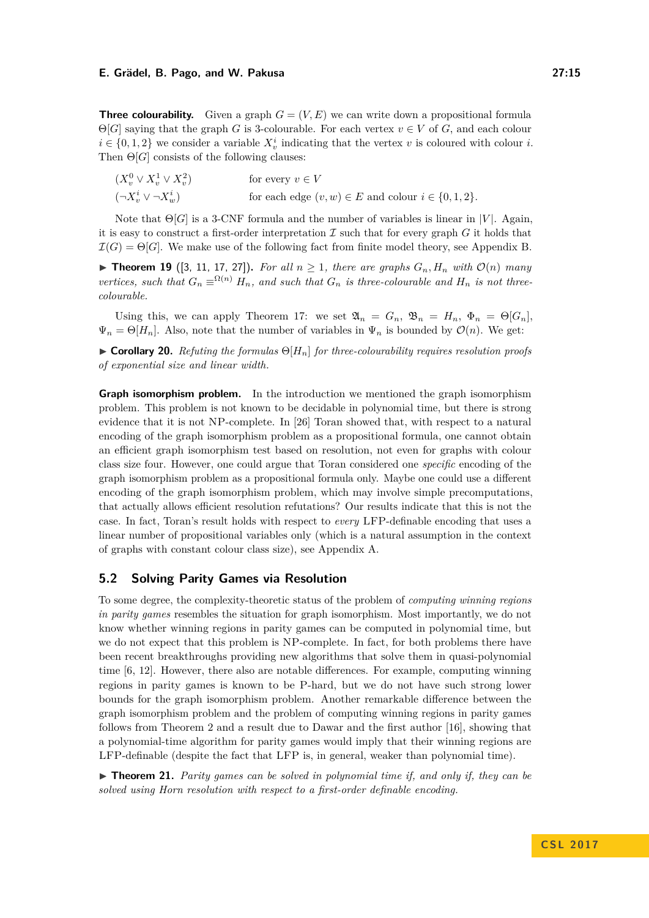**Three colourability.** Given a graph  $G = (V, E)$  we can write down a propositional formula  $\Theta[G]$  saying that the graph *G* is 3-colourable. For each vertex  $v \in V$  of *G*, and each colour  $i \in \{0, 1, 2\}$  we consider a variable  $X_v^i$  indicating that the vertex *v* is coloured with colour *i*. Then  $\Theta[G]$  consists of the following clauses:

 $(X_v^0 \vee X_v^1 \vee X_v^2)$ for every  $v \in V$  $(¬X_v^i ∨ ¬X_v^i)$ for each edge  $(v, w) \in E$  and colour  $i \in \{0, 1, 2\}$ .

Note that  $\Theta[G]$  is a 3-CNF formula and the number of variables is linear in |*V*|. Again, it is easy to construct a first-order interpretation  $\mathcal I$  such that for every graph  $G$  it holds that  $\mathcal{I}(G) = \Theta[G]$ . We make use of the following fact from finite model theory, see Appendix [B.](#page-17-1)

<span id="page-14-1"></span>▶ **Theorem 19** ([\[3,](#page-15-14) [11,](#page-15-19) [17,](#page-15-15) [27\]](#page-16-1)). For all  $n \ge 1$ , there are graphs  $G_n$ ,  $H_n$  with  $\mathcal{O}(n)$  many *vertices, such that*  $G_n \equiv^{\Omega(n)} H_n$ *, and such that*  $G_n$  *is three-colourable and*  $H_n$  *is not threecolourable.*

Using this, we can apply Theorem [17:](#page-12-1) we set  $\mathfrak{A}_n = G_n$ ,  $\mathfrak{B}_n = H_n$ ,  $\Phi_n = \Theta[G_n]$ ,  $\Psi_n = \Theta[H_n]$ . Also, note that the number of variables in  $\Psi_n$  is bounded by  $\mathcal{O}(n)$ . We get:

<span id="page-14-0"></span> $\triangleright$  **Corollary 20.** *Refuting the formulas*  $\Theta[H_n]$  *for three-colourability requires resolution proofs of exponential size and linear width.*

**Graph isomorphism problem.** In the introduction we mentioned the graph isomorphism problem. This problem is not known to be decidable in polynomial time, but there is strong evidence that it is not NP-complete. In [\[26\]](#page-16-0) Toran showed that, with respect to a natural encoding of the graph isomorphism problem as a propositional formula, one cannot obtain an efficient graph isomorphism test based on resolution, not even for graphs with colour class size four. However, one could argue that Toran considered one *specific* encoding of the graph isomorphism problem as a propositional formula only. Maybe one could use a different encoding of the graph isomorphism problem, which may involve simple precomputations, that actually allows efficient resolution refutations? Our results indicate that this is not the case. In fact, Toran's result holds with respect to *every* LFP-definable encoding that uses a linear number of propositional variables only (which is a natural assumption in the context of graphs with constant colour class size), see Appendix [A.](#page-16-2)

# **5.2 Solving Parity Games via Resolution**

To some degree, the complexity-theoretic status of the problem of *computing winning regions in parity games* resembles the situation for graph isomorphism. Most importantly, we do not know whether winning regions in parity games can be computed in polynomial time, but we do not expect that this problem is NP-complete. In fact, for both problems there have been recent breakthroughs providing new algorithms that solve them in quasi-polynomial time [\[6,](#page-15-20) [12\]](#page-15-21). However, there also are notable differences. For example, computing winning regions in parity games is known to be P-hard, but we do not have such strong lower bounds for the graph isomorphism problem. Another remarkable difference between the graph isomorphism problem and the problem of computing winning regions in parity games follows from Theorem [2](#page-5-1) and a result due to Dawar and the first author [\[16\]](#page-15-22), showing that a polynomial-time algorithm for parity games would imply that their winning regions are LFP-definable (despite the fact that LFP is, in general, weaker than polynomial time).

 $\triangleright$  **Theorem 21.** *Parity games can be solved in polynomial time if, and only if, they can be solved using Horn resolution with respect to a first-order definable encoding.*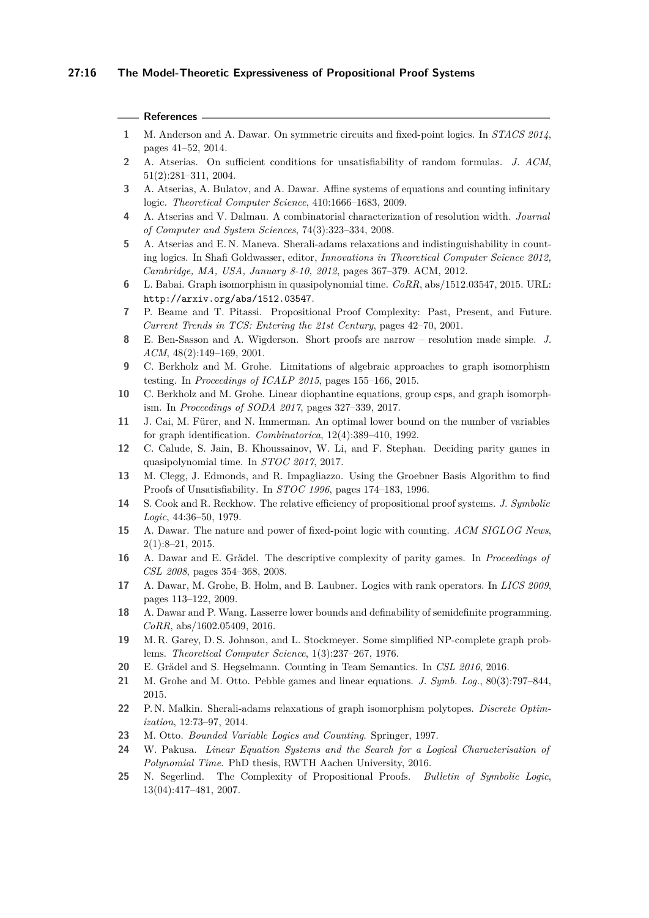## **References**

- <span id="page-15-17"></span>**1** M. Anderson and A. Dawar. On symmetric circuits and fixed-point logics. In *STACS 2014*, pages 41–52, 2014.
- <span id="page-15-7"></span>**2** A. Atserias. On sufficient conditions for unsatisfiability of random formulas. *J. ACM*, 51(2):281–311, 2004.
- <span id="page-15-14"></span>**3** A. Atserias, A. Bulatov, and A. Dawar. Affine systems of equations and counting infinitary logic. *Theoretical Computer Science*, 410:1666–1683, 2009.
- <span id="page-15-8"></span>**4** A. Atserias and V. Dalmau. A combinatorial characterization of resolution width. *Journal of Computer and System Sciences*, 74(3):323–334, 2008.
- <span id="page-15-9"></span>**5** A. Atserias and E. N. Maneva. Sherali-adams relaxations and indistinguishability in counting logics. In Shafi Goldwasser, editor, *Innovations in Theoretical Computer Science 2012, Cambridge, MA, USA, January 8-10, 2012*, pages 367–379. ACM, 2012.
- <span id="page-15-20"></span>**6** L. Babai. Graph isomorphism in quasipolynomial time. *CoRR*, abs/1512.03547, 2015. URL: <http://arxiv.org/abs/1512.03547>.
- <span id="page-15-1"></span>**7** P. Beame and T. Pitassi. Propositional Proof Complexity: Past, Present, and Future. *Current Trends in TCS: Entering the 21st Century*, pages 42–70, 2001.
- <span id="page-15-18"></span>**8** E. Ben-Sasson and A. Wigderson. Short proofs are narrow – resolution made simple. *J. ACM*, 48(2):149–169, 2001.
- <span id="page-15-3"></span>**9** C. Berkholz and M. Grohe. Limitations of algebraic approaches to graph isomorphism testing. In *Proceedings of ICALP 2015*, pages 155–166, 2015.
- <span id="page-15-4"></span>**10** C. Berkholz and M. Grohe. Linear diophantine equations, group csps, and graph isomorphism. In *Proceedings of SODA 2017*, pages 327–339, 2017.
- <span id="page-15-19"></span>**11** J. Cai, M. Fürer, and N. Immerman. An optimal lower bound on the number of variables for graph identification. *Combinatorica*, 12(4):389–410, 1992.
- <span id="page-15-21"></span>**12** C. Calude, S. Jain, B. Khoussainov, W. Li, and F. Stephan. Deciding parity games in quasipolynomial time. In *STOC 2017*, 2017.
- <span id="page-15-13"></span>**13** M. Clegg, J. Edmonds, and R. Impagliazzo. Using the Groebner Basis Algorithm to find Proofs of Unsatisfiability. In *STOC 1996*, pages 174–183, 1996.
- <span id="page-15-0"></span>**14** S. Cook and R. Reckhow. The relative efficiency of propositional proof systems. *J. Symbolic Logic*, 44:36–50, 1979.
- <span id="page-15-5"></span>**15** A. Dawar. The nature and power of fixed-point logic with counting. *ACM SIGLOG News*, 2(1):8–21, 2015.
- <span id="page-15-22"></span>**16** A. Dawar and E. Grädel. The descriptive complexity of parity games. In *Proceedings of CSL 2008*, pages 354–368, 2008.
- <span id="page-15-15"></span>**17** A. Dawar, M. Grohe, B. Holm, and B. Laubner. Logics with rank operators. In *LICS 2009*, pages 113–122, 2009.
- <span id="page-15-23"></span>**18** A. Dawar and P. Wang. Lasserre lower bounds and definability of semidefinite programming. *CoRR*, abs/1602.05409, 2016.
- <span id="page-15-24"></span>**19** M. R. Garey, D. S. Johnson, and L. Stockmeyer. Some simplified NP-complete graph problems. *Theoretical Computer Science*, 1(3):237–267, 1976.
- <span id="page-15-16"></span>**20** E. Grädel and S. Hegselmann. Counting in Team Semantics. In *CSL 2016*, 2016.
- <span id="page-15-11"></span>**21** M. Grohe and M. Otto. Pebble games and linear equations. *J. Symb. Log.*, 80(3):797–844, 2015.
- <span id="page-15-10"></span>**22** P. N. Malkin. Sherali-adams relaxations of graph isomorphism polytopes. *Discrete Optimization*, 12:73–97, 2014.
- <span id="page-15-6"></span>**23** M. Otto. *Bounded Variable Logics and Counting*. Springer, 1997.
- <span id="page-15-12"></span>**24** W. Pakusa. *Linear Equation Systems and the Search for a Logical Characterisation of Polynomial Time*. PhD thesis, RWTH Aachen University, 2016.
- <span id="page-15-2"></span>**25** N. Segerlind. The Complexity of Propositional Proofs. *Bulletin of Symbolic Logic*, 13(04):417–481, 2007.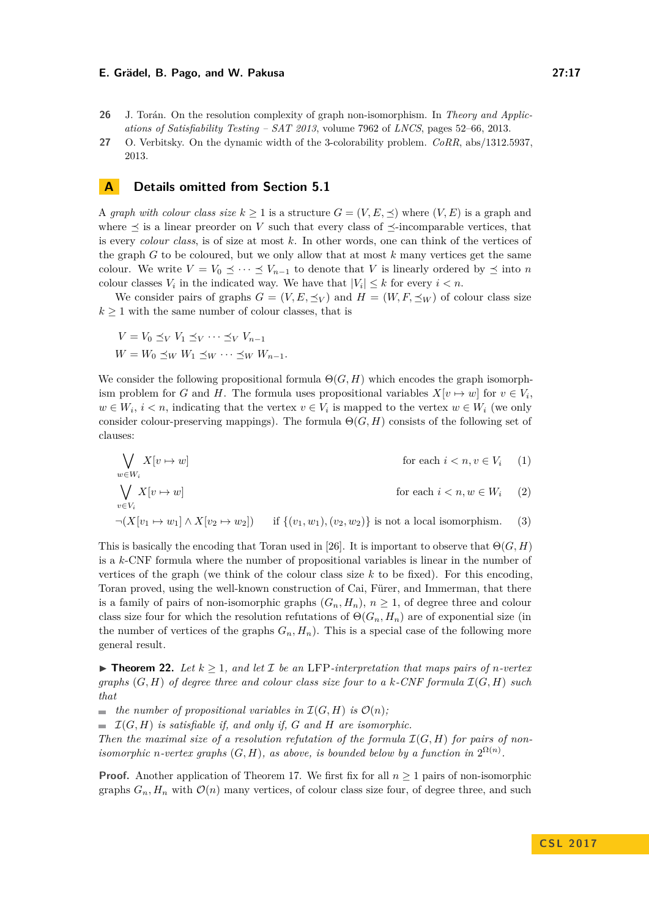- <span id="page-16-0"></span>**26** J. Torán. On the resolution complexity of graph non-isomorphism. In *Theory and Applications of Satisfiability Testing – SAT 2013*, volume 7962 of *LNCS*, pages 52–66, 2013.
- <span id="page-16-1"></span>**27** O. Verbitsky. On the dynamic width of the 3-colorability problem. *CoRR*, abs/1312.5937, 2013.

# <span id="page-16-2"></span>**A Details omitted from Section [5.1](#page-12-0)**

A *graph with colour class size*  $k \geq 1$  is a structure  $G = (V, E, \preceq)$  where  $(V, E)$  is a graph and where  $\leq$  is a linear preorder on *V* such that every class of  $\leq$ -incomparable vertices, that is every *colour class*, is of size at most *k*. In other words, one can think of the vertices of the graph *G* to be coloured, but we only allow that at most *k* many vertices get the same colour. We write  $V = V_0 \preceq \cdots \preceq V_{n-1}$  to denote that V is linearly ordered by  $\preceq$  into *n* colour classes  $V_i$  in the indicated way. We have that  $|V_i| \leq k$  for every  $i < n$ .

We consider pairs of graphs  $G = (V, E, \preceq_V)$  and  $H = (W, F, \preceq_W)$  of colour class size  $k \geq 1$  with the same number of colour classes, that is

$$
V = V_0 \preceq_V V_1 \preceq_V \cdots \preceq_V V_{n-1}
$$
  
 
$$
W = W_0 \preceq_W W_1 \preceq_W \cdots \preceq_W W_{n-1}.
$$

We consider the following propositional formula  $\Theta(G, H)$  which encodes the graph isomorphism problem for *G* and *H*. The formula uses propositional variables  $X[v \mapsto w]$  for  $v \in V_i$ ,  $w \in W_i$ ,  $i < n$ , indicating that the vertex  $v \in V_i$  is mapped to the vertex  $w \in W_i$  (we only consider colour-preserving mappings). The formula  $\Theta(G, H)$  consists of the following set of clauses:

$$
\bigvee_{w \in W_i} X[v \mapsto w]
$$
 for each  $i < n, v \in V_i$  (1)  

$$
\bigvee_{v \in V_i} X[v \mapsto w]
$$
 for each  $i < n, w \in W_i$  (2)

$$
\neg(X[v_1 \mapsto w_1] \wedge X[v_2 \mapsto w_2]) \qquad \text{if } \{(v_1, w_1), (v_2, w_2)\} \text{ is not a local isomorphism.} \tag{3}
$$

This is basically the encoding that Toran used in [\[26\]](#page-16-0). It is important to observe that  $\Theta(G, H)$ is a *k*-CNF formula where the number of propositional variables is linear in the number of vertices of the graph (we think of the colour class size *k* to be fixed). For this encoding, Toran proved, using the well-known construction of Cai, Fürer, and Immerman, that there is a family of pairs of non-isomorphic graphs  $(G_n, H_n)$ ,  $n \geq 1$ , of degree three and colour class size four for which the resolution refutations of  $\Theta(G_n, H_n)$  are of exponential size (in the number of vertices of the graphs  $G_n$ ,  $H_n$ ). This is a special case of the following more general result.

▶ **Theorem 22.** Let  $k \geq 1$ , and let  $\mathcal{I}$  be an LFP-interpretation that maps pairs of *n*-vertex *graphs*  $(G, H)$  *of degree three and colour class size four to a k-CNF formula*  $\mathcal{I}(G, H)$  *such that*

 $\blacksquare$  *the number of propositional variables in*  $\mathcal{I}(G, H)$  *is*  $\mathcal{O}(n)$ *;* 

 $\blacksquare$   $\mathcal{I}(G, H)$  *is satisfiable if, and only if, G and H are isomorphic.* 

Then the maximal size of a resolution refutation of the formula  $\mathcal{I}(G,H)$  for pairs of non*isomorphic n-vertex graphs*  $(G, H)$ *, as above, is bounded below by a function in*  $2^{\Omega(n)}$ *.* 

**Proof.** Another application of Theorem [17.](#page-12-1) We first fix for all  $n \geq 1$  pairs of non-isomorphic graphs  $G_n$ ,  $H_n$  with  $\mathcal{O}(n)$  many vertices, of colour class size four, of degree three, and such